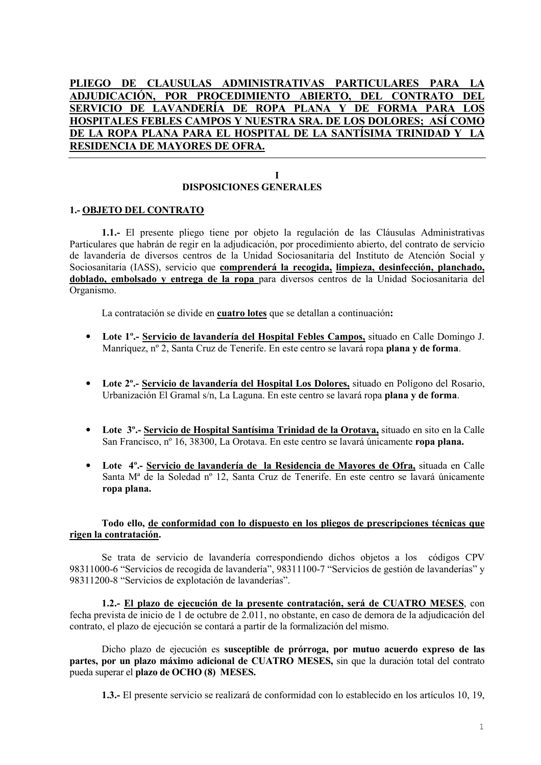#### CLAUSULAS ADMINISTRATIVAS PARTICULARES PARA PLIEGO DE ADJUDICACIÓN, POR PROCEDIMIENTO ABIERTO, DEL CONTRATO DEL SERVICIO DE LAVANDERÍA DE ROPA PLANA Y DE FORMA PARA LOS HOSPITALES FEBLES CAMPOS Y NUESTRA SRA. DE LOS DOLORES: ASÍ COMO DE LA ROPA PLANA PARA EL HOSPITAL DE LA SANTÍSIMA TRINIDAD Y LA **RESIDENCIA DE MAYORES DE OFRA.**

#### $\mathbf{I}$ DISPOSICIONES GENERALES

### **1.- OBJETO DEL CONTRATO**

1.1.- El presente pliego tiene por objeto la regulación de las Cláusulas Administrativas Particulares que habrán de regir en la adjudicación, por procedimiento abierto, del contrato de servicio de lavandería de diversos centros de la Unidad Sociosanitaria del Instituto de Atención Social y Sociosanitaria (IASS), servicio que comprenderá la recogida, limpieza, desinfección, planchado, doblado, embolsado y entrega de la ropa para diversos centros de la Unidad Sociosanitaria del Organismo.

La contratación se divide en cuatro lotes que se detallan a continuación:

- Lote 1<sup>o</sup>.- Servicio de lavandería del Hospital Febles Campos, situado en Calle Domingo J. Manríquez, nº 2, Santa Cruz de Tenerife. En este centro se lavará ropa plana y de forma.
- Lote 2<sup>°</sup> .- Servicio de lavandería del Hospital Los Dolores, situado en Polígono del Rosario,  $\bullet$ Urbanización El Gramal s/n, La Laguna. En este centro se lavará ropa plana y de forma.
- Lote 3° .- Servicio de Hospital Santísima Trinidad de la Orotava, situado en sito en la Calle San Francisco, nº 16, 38300, La Orotava. En este centro se lavará únicamente ropa plana.
- $\bullet$ Lote 4<sup>o</sup>- Servicio de lavandería de la Residencia de Mayores de Ofra, situada en Calle Santa M<sup>a</sup> de la Soledad nº 12, Santa Cruz de Tenerife. En este centro se lavará únicamente ropa plana.

### Todo ello, de conformidad con lo dispuesto en los pliegos de prescripciones técnicas que rigen la contratación.

Se trata de servicio de lavandería correspondiendo dichos objetos a los códigos CPV 98311000-6 "Servicios de recogida de lavandería", 98311100-7 "Servicios de gestión de lavanderías" y 98311200-8 "Servicios de explotación de lavanderías".

1.2.- El plazo de ejecución de la presente contratación, será de CUATRO MESES, con fecha prevista de inicio de 1 de octubre de 2.011, no obstante, en caso de demora de la adjudicación del contrato, el plazo de ejecución se contará a partir de la formalización del mismo.

Dicho plazo de ejecución es susceptible de prórroga, por mutuo acuerdo expreso de las partes, por un plazo máximo adicional de CUATRO MESES, sin que la duración total del contrato pueda superar el plazo de OCHO (8) MESES.

1.3.- El presente servicio se realizará de conformidad con lo establecido en los artículos 10, 19,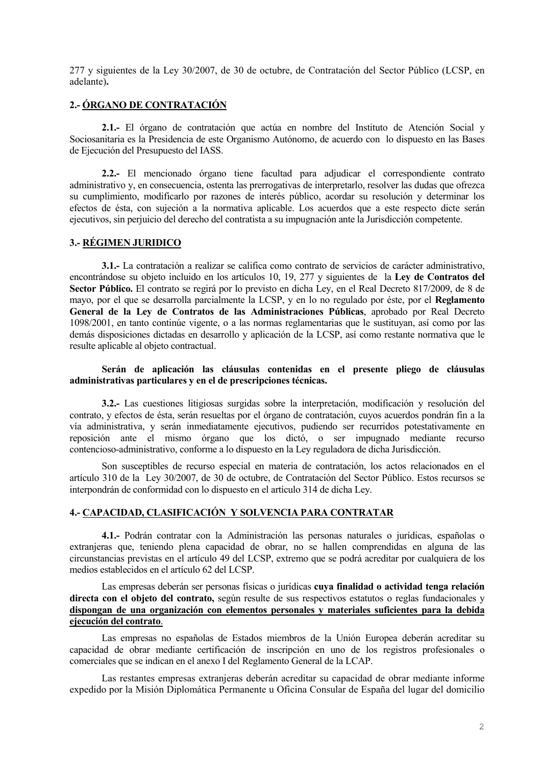277 y siguientes de la Ley 30/2007, de 30 de octubre, de Contratación del Sector Público (LCSP, en adelante).

## 2.- ÓRGANO DE CONTRATACIÓN

2.1.- El órgano de contratación que actúa en nombre del Instituto de Atención Social y Sociosanitaria es la Presidencia de este Organismo Autónomo, de acuerdo con lo dispuesto en las Bases de Ejecución del Presupuesto del IASS.

2.2.- El mencionado órgano tiene facultad para adjudicar el correspondiente contrato administrativo y, en consecuencia, ostenta las prerrogativas de interpretarlo, resolver las dudas que ofrezca su cumplimiento, modificarlo por razones de interés público, acordar su resolución y determinar los efectos de ésta, con sujeción a la normativa aplicable. Los acuerdos que a este respecto dicte serán ejecutivos, sin periuicio del derecho del contratista a su impugnación ante la Jurisdicción competente.

#### 3.- RÉGIMEN JURIDICO

3.1.- La contratación a realizar se califica como contrato de servicios de carácter administrativo. encontrándose su objeto incluido en los artículos 10, 19, 277 y siguientes de la Ley de Contratos del Sector Público. El contrato se regirá por lo previsto en dicha Ley, en el Real Decreto 817/2009, de 8 de mayo, por el que se desarrolla parcialmente la LCSP, y en lo no regulado por éste, por el Reglamento General de la Ley de Contratos de las Administraciones Públicas, aprobado por Real Decreto 1098/2001, en tanto continúe vigente, o a las normas reglamentarias que le sustituyan, así como por las demás disposiciones dictadas en desarrollo y aplicación de la LCSP, así como restante normativa que le resulte aplicable al objeto contractual.

### Serán de aplicación las cláusulas contenidas en el presente pliego de cláusulas administrativas particulares y en el de prescripciones técnicas.

3.2.- Las cuestiones litigiosas surgidas sobre la interpretación, modificación y resolución del contrato, y efectos de ésta, serán resueltas por el órgano de contratación, cuyos acuerdos pondrán fin a la vía administrativa, y serán inmediatamente ejecutivos, pudiendo ser recurridos potestativamente en reposición ante el mismo órgano que los dictó, o ser impugnado mediante recurso contencioso-administrativo, conforme a lo dispuesto en la Ley reguladora de dicha Jurisdicción.

Son susceptibles de recurso especial en materia de contratación, los actos relacionados en el artículo 310 de la Ley 30/2007, de 30 de octubre, de Contratación del Sector Público. Estos recursos se interpondrán de conformidad con lo dispuesto en el artículo 314 de dicha Lev.

### 4.- CAPACIDAD, CLASIFICACIÓN Y SOLVENCIA PARA CONTRATAR

4.1.- Podrán contratar con la Administración las personas naturales o jurídicas, españolas o extranjeras que, teniendo plena capacidad de obrar, no se hallen comprendidas en alguna de las circunstancias previstas en el artículo 49 del LCSP, extremo que se podrá acreditar por cualquiera de los medios establecidos en el artículo 62 del LCSP.

Las empresas deberán ser personas físicas o jurídicas cuya finalidad o actividad tenga relación directa con el objeto del contrato, según resulte de sus respectivos estatutos o reglas fundacionales y dispongan de una organización con elementos personales y materiales suficientes para la debida ejecución del contrato.

Las empresas no españolas de Estados miembros de la Unión Europea deberán acreditar su capacidad de obrar mediante certificación de inscripción en uno de los registros profesionales o comerciales que se indican en el anexo I del Reglamento General de la LCAP.

Las restantes empresas extranieras deberán acreditar su capacidad de obrar mediante informe expedido por la Misión Diplomática Permanente u Oficina Consular de España del lugar del domicilio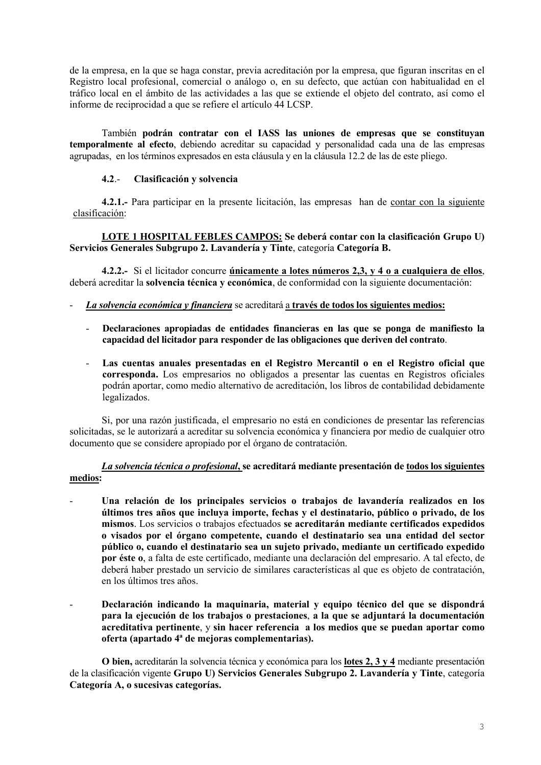de la empresa, en la que se haga constar, previa acreditación por la empresa, que figuran inscritas en el Registro local profesional, comercial o análogo o, en su defecto, que actúan con habitualidad en el tráfico local en el ámbito de las actividades a las que se extiende el objeto del contrato, así como el informe de reciprocidad a que se refiere el artículo 44 LCSP.

También podrán contratar con el IASS las uniones de empresas que se constituyan temporalmente al efecto, debiendo acreditar su capacidad y personalidad cada una de las empresas agrupadas, en los términos expresados en esta cláusula y en la cláusula 12.2 de las de este pliego.

#### $4.2 -$ Clasificación y solvencia

4.2.1. Para participar en la presente licitación, las empresas han de contar con la siguiente clasificación:

LOTE 1 HOSPITAL FEBLES CAMPOS: Se deberá contar con la clasificación Grupo U) Servicios Generales Subgrupo 2. Lavandería y Tinte, categoría Categoría B.

4.2.2.- Si el licitador concurre únicamente a lotes números 2,3, y 4 o a cualquiera de ellos, deberá acreditar la solvencia técnica y económica, de conformidad con la siguiente documentación:

- La solvencia económica y financiera se acreditará a través de todos los siguientes medios:
	- Declaraciones apropiadas de entidades financieras en las que se ponga de manifiesto la  $\mathcal{L}^{\pm}$ capacidad del licitador para responder de las obligaciones que deriven del contrato.
	- Las cuentas anuales presentadas en el Registro Mercantil o en el Registro oficial que  $\omega_{\rm{eff}}$ corresponda. Los empresarios no obligados a presentar las cuentas en Registros oficiales podrán aportar, como medio alternativo de acreditación, los libros de contabilidad debidamente legalizados.

Si, por una razón justificada, el empresario no está en condiciones de presentar las referencias solicitadas, se le autorizará a acreditar su solvencia económica y financiera por medio de cualquier otro documento que se considere apropiado por el órgano de contratación.

La solvencia técnica o profesional, se acreditará mediante presentación de todos los siguientes medios:

- Una relación de los principales servicios o trabajos de lavandería realizados en los últimos tres años que incluva importe, fechas y el destinatario, público o privado, de los mismos. Los servicios o trabajos efectuados se acreditarán mediante certificados expedidos o visados por el órgano competente, cuando el destinatario sea una entidad del sector público o, cuando el destinatario sea un sujeto privado, mediante un certificado expedido por éste o, a falta de este certificado, mediante una declaración del empresario. A tal efecto, de deberá haber prestado un servicio de similares características al que es objeto de contratación, en los últimos tres años.
- Declaración indicando la maguinaria, material y equipo técnico del que se dispondrá para la ejecución de los trabajos o prestaciones, a la que se adjuntará la documentación acreditativa pertinente, y sin hacer referencia a los medios que se puedan aportar como oferta (apartado 4ª de mejoras complementarias).

O bien, acreditarán la solvencia técnica y económica para los lotes 2, 3 y 4 mediante presentación de la clasificación vigente Grupo U) Servicios Generales Subgrupo 2. Lavandería y Tinte, categoría Categoría A, o sucesivas categorías.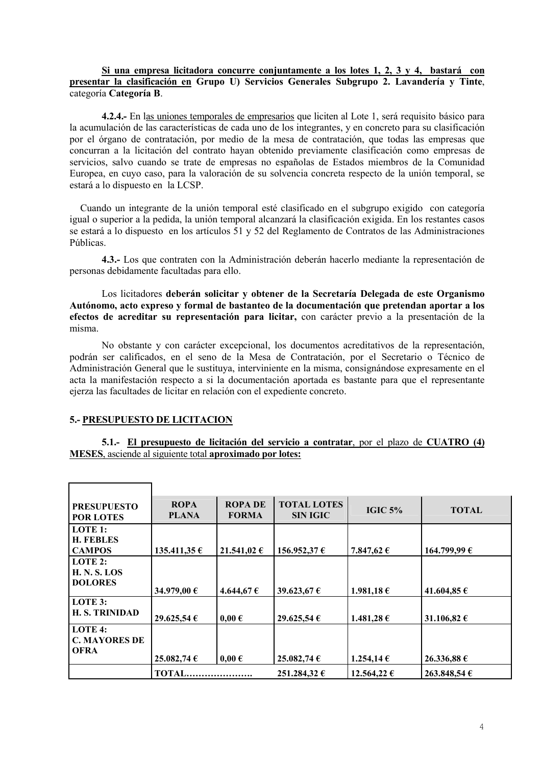### Si una empresa licitadora concurre conjuntamente a los lotes 1, 2, 3 y 4, bastará con presentar la clasificación en Grupo U) Servicios Generales Subgrupo 2. Lavandería y Tinte, categoría Categoría B.

4.2.4.- En las uniones temporales de empresarios que liciten al Lote 1, será requisito básico para la acumulación de las características de cada uno de los integrantes, y en concreto para su clasificación por el órgano de contratación, por medio de la mesa de contratación, que todas las empresas que concurran a la licitación del contrato hayan obtenido previamente clasificación como empresas de servicios, salvo cuando se trate de empresas no españolas de Estados miembros de la Comunidad Europea, en cuyo caso, para la valoración de su solvencia concreta respecto de la unión temporal, se estará a lo dispuesto en la LCSP.

Cuando un integrante de la unión temporal esté clasificado en el subgrupo exigido con categoría igual o superior a la pedida, la unión temporal alcanzará la clasificación exigida. En los restantes casos se estará a lo dispuesto en los artículos 51 y 52 del Reglamento de Contratos de las Administraciones Públicas.

4.3.- Los que contraten con la Administración deberán hacerlo mediante la representación de personas debidamente facultadas para ello.

Los licitadores deberán solicitar y obtener de la Secretaría Delegada de este Organismo Autónomo, acto expreso y formal de bastanteo de la documentación que pretendan aportar a los efectos de acreditar su representación para licitar, con carácter previo a la presentación de la misma.

No obstante y con carácter excepcional, los documentos acreditativos de la representación, podrán ser calificados, en el seno de la Mesa de Contratación, por el Secretario o Técnico de Administración General que le sustituya, interviniente en la misma, consignándose expresamente en el acta la manifestación respecto a si la documentación aportada es bastante para que el representante ejerza las facultades de licitar en relación con el expediente concreto.

### 5.- PRESUPUESTO DE LICITACION

### 5.1.- El presupuesto de licitación del servicio a contratar, por el plazo de CUATRO (4) **MESES**, asciende al siguiente total aproximado por lotes:

| <b>PRESUPUESTO</b><br><b>POR LOTES</b>             | <b>ROPA</b><br><b>PLANA</b> | <b>ROPA DE</b><br><b>FORMA</b> | <b>TOTAL LOTES</b><br><b>SIN IGIC</b> | <b>IGIC 5%</b> | <b>TOTAL</b>    |
|----------------------------------------------------|-----------------------------|--------------------------------|---------------------------------------|----------------|-----------------|
| LOTE 1:<br><b>H. FEBLES</b><br><b>CAMPOS</b>       | 135.411,35 €                | 21.541,02 €                    | 156.952,37 €                          | 7.847,62 €     | 164.799,99 €    |
| LOTE $2:$<br><b>H. N. S. LOS</b><br><b>DOLORES</b> | 34.979,00 €                 | 4.644,67 €                     | 39.623,67 €                           | 1.981,18€      | 41.604,85 €     |
| $LOTE3$ :<br><b>H.S. TRINIDAD</b>                  | 29.625,54 €                 | $0,00 \in$                     | 29.625,54 €                           | 1.481,28 €     | 31.106,82 $\in$ |
| LOTE 4:<br><b>C. MAYORES DE</b><br><b>OFRA</b>     | 25.082,74 €                 | $0,00 \in$                     | 25.082,74 €                           | 1.254,14 €     | 26.336,88 €     |
|                                                    | <b>TOTAL</b>                |                                | 251.284,32 €                          | 12.564,22 €    | 263.848,54 €    |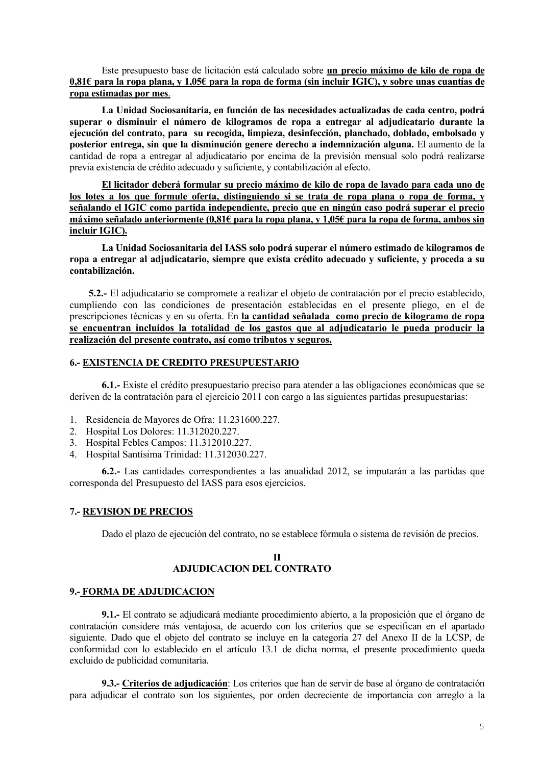Este presupuesto base de licitación está calculado sobre un precio máximo de kilo de ropa de 0,81€ para la ropa plana, y 1,05€ para la ropa de forma (sin incluir IGIC), y sobre unas cuantías de ropa estimadas por mes.

La Unidad Sociosanitaria, en función de las necesidades actualizadas de cada centro, podrá superar o disminuir el número de kilogramos de ropa a entregar al adjudicatario durante la ejecución del contrato, para su recogida, limpieza, desinfección, planchado, doblado, embolsado y posterior entrega, sin que la disminución genere derecho a indemnización alguna. El aumento de la cantidad de ropa a entregar al adjudicatario por encima de la previsión mensual solo podrá realizarse previa existencia de crédito adecuado y suficiente, y contabilización al efecto.

El licitador deberá formular su precio máximo de kilo de ropa de lavado para cada uno de los lotes a los que formule oferta, distinguiendo si se trata de ropa plana o ropa de forma, y señalando el IGIC como partida independiente, precio que en ningún caso podrá superar el precio máximo señalado anteriormente (0,81€ para la ropa plana, y 1,05€ para la ropa de forma, ambos sin incluir IGIC).

La Unidad Sociosanitaria del IASS solo podrá superar el número estimado de kilogramos de ropa a entregar al adjudicatario, siempre que exista crédito adecuado y suficiente, y proceda a su contabilización.

5.2.- El adjudicatario se compromete a realizar el objeto de contratación por el precio establecido, cumpliendo con las condiciones de presentación establecidas en el presente pliego, en el de prescripciones técnicas y en su oferta. En la cantidad señalada como precio de kilogramo de ropa se encuentran incluidos la totalidad de los gastos que al adjudicatario le pueda producir la realización del presente contrato, así como tributos y seguros.

### **6.- EXISTENCIA DE CREDITO PRESUPUESTARIO**

6.1.- Existe el crédito presupuestario preciso para atender a las obligaciones económicas que se deriven de la contratación para el ejercicio 2011 con cargo a las siguientes partidas presupuestarias:

- 1. Residencia de Mayores de Ofra: 11.231600.227.
- 2. Hospital Los Dolores: 11.312020.227.
- 3. Hospital Febles Campos: 11.312010.227.
- 4. Hospital Santísima Trinidad: 11.312030.227.

6.2.- Las cantidades correspondientes a las anualidad 2012, se imputarán a las partidas que corresponda del Presupuesto del IASS para esos ejercicios.

### 7.- REVISION DE PRECIOS

Dado el plazo de ejecución del contrato, no se establece fórmula o sistema de revisión de precios.

#### $\mathbf{H}$ **ADJUDICACION DEL CONTRATO**

#### 9.- FORMA DE ADJUDICACION

9.1.- El contrato se adjudicará mediante procedimiento abierto, a la proposición que el órgano de contratación considere más ventajosa, de acuerdo con los criterios que se especifican en el apartado siguiente. Dado que el objeto del contrato se incluye en la categoría 27 del Anexo II de la LCSP, de conformidad con lo establecido en el artículo 13.1 de dicha norma, el presente procedimiento queda excluido de publicidad comunitaria.

9.3.- Criterios de adjudicación: Los criterios que han de servir de base al órgano de contratación para adjudicar el contrato son los siguientes, por orden decreciente de importancia con arreglo a la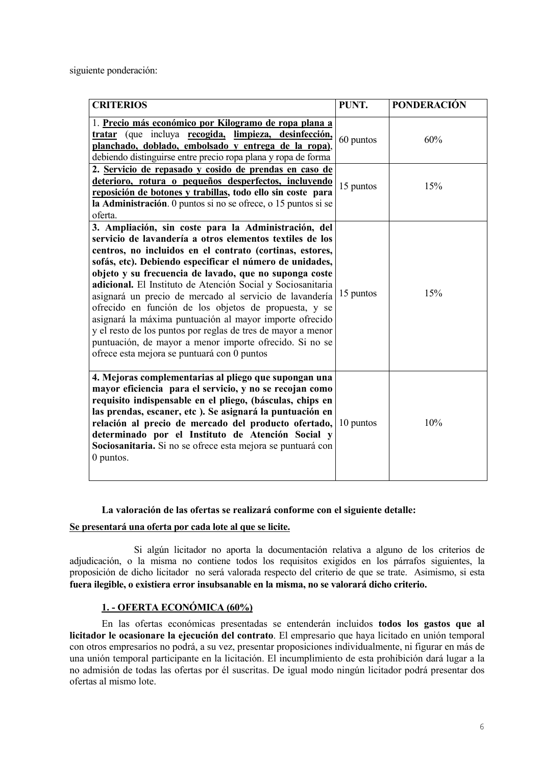siguiente ponderación:

| <b>CRITERIOS</b>                                                                                                                                                                                                                                                                                                                                                                                                                                                                                                                                                                                                                                                                                                           | PUNT.     | <b>PONDERACIÓN</b> |
|----------------------------------------------------------------------------------------------------------------------------------------------------------------------------------------------------------------------------------------------------------------------------------------------------------------------------------------------------------------------------------------------------------------------------------------------------------------------------------------------------------------------------------------------------------------------------------------------------------------------------------------------------------------------------------------------------------------------------|-----------|--------------------|
| 1. Precio más económico por Kilogramo de ropa plana a<br>tratar (que incluya recogida, limpieza, desinfección,<br>planchado, doblado, embolsado y entrega de la ropa),<br>debiendo distinguirse entre precio ropa plana y ropa de forma                                                                                                                                                                                                                                                                                                                                                                                                                                                                                    | 60 puntos | 60%                |
| 2. Servicio de repasado y cosido de prendas en caso de<br>deterioro, rotura o pequeños desperfectos, incluyendo<br>reposición de botones y trabillas, todo ello sin coste para<br>la Administración. O puntos si no se ofrece, o 15 puntos si se<br>oferta.                                                                                                                                                                                                                                                                                                                                                                                                                                                                | 15 puntos | 15%                |
| 3. Ampliación, sin coste para la Administración, del<br>servicio de lavandería a otros elementos textiles de los<br>centros, no incluidos en el contrato (cortinas, estores,<br>sofás, etc). Debiendo especificar el número de unidades,<br>objeto y su frecuencia de lavado, que no suponga coste<br>adicional. El Instituto de Atención Social y Sociosanitaria<br>asignará un precio de mercado al servicio de lavandería<br>ofrecido en función de los objetos de propuesta, y se<br>asignará la máxima puntuación al mayor importe ofrecido<br>y el resto de los puntos por reglas de tres de mayor a menor<br>puntuación, de mayor a menor importe ofrecido. Si no se<br>ofrece esta mejora se puntuará con 0 puntos | 15 puntos | 15%                |
| 4. Mejoras complementarias al pliego que supongan una<br>mayor eficiencia para el servicio, y no se recojan como<br>requisito indispensable en el pliego, (básculas, chips en<br>las prendas, escaner, etc). Se asignará la puntuación en<br>relación al precio de mercado del producto ofertado,<br>determinado por el Instituto de Atención Social y<br>Sociosanitaria. Si no se ofrece esta mejora se puntuará con<br>0 puntos.                                                                                                                                                                                                                                                                                         | 10 puntos | 10%                |

### La valoración de las ofertas se realizará conforme con el siguiente detalle:

### Se presentará una oferta por cada lote al que se licite.

Si algún licitador no aporta la documentación relativa a alguno de los criterios de adjudicación, o la misma no contiene todos los requisitos exigidos en los párrafos siguientes, la proposición de dicho licitador no será valorada respecto del criterio de que se trate. Asimismo, si esta fuera ilegible, o existiera error insubsanable en la misma, no se valorará dicho criterio.

## 1. - OFERTA ECONÓMICA (60%)

En las ofertas económicas presentadas se entenderán incluidos todos los gastos que al licitador le ocasionare la ejecución del contrato. El empresario que haya licitado en unión temporal con otros empresarios no podrá, a su vez, presentar proposiciones individualmente, ni figurar en más de una unión temporal participante en la licitación. El incumplimiento de esta prohibición dará lugar a la no admisión de todas las ofertas por él suscritas. De igual modo ningún licitador podrá presentar dos ofertas al mismo lote.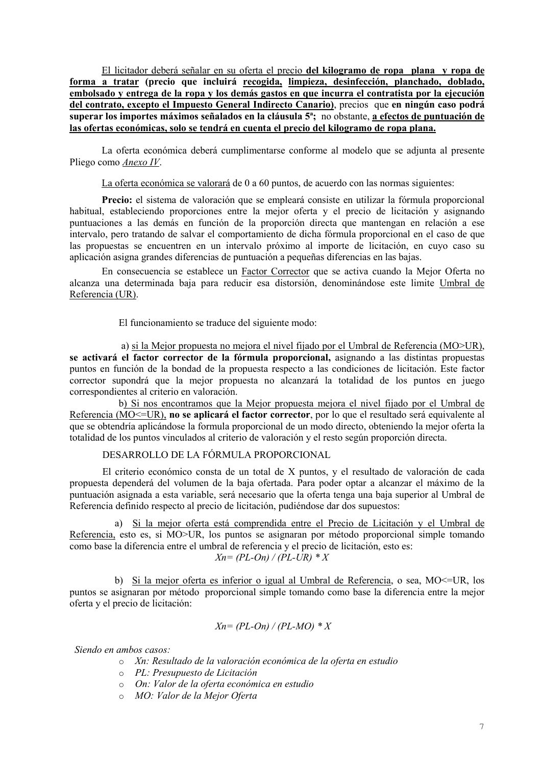El licitador deberá señalar en su oferta el precio del kilogramo de ropa plana y ropa de forma a tratar (precio que incluirá recogida, limpieza, desinfección, planchado, doblado, embolsado y entrega de la ropa y los demás gastos en que incurra el contratista por la ejecución del contrato, excepto el Impuesto General Indirecto Canario), precios que en ningún caso podrá superar los importes máximos señalados en la cláusula 5<sup>ª</sup>; no obstante, a efectos de puntuación de las ofertas económicas, solo se tendrá en cuenta el precio del kilogramo de ropa plana.

La oferta económica deberá cumplimentarse conforme al modelo que se adjunta al presente Pliego como Anexo IV.

La oferta económica se valorará de 0 a 60 puntos, de acuerdo con las normas siguientes:

Precio: el sistema de valoración que se empleará consiste en utilizar la fórmula proporcional habitual, estableciendo proporciones entre la mejor oferta y el precio de licitación y asignando puntuaciones a las demás en función de la proporción directa que mantengan en relación a ese intervalo, pero tratando de salvar el comportamiento de dicha fórmula proporcional en el caso de que las propuestas se encuentren en un intervalo próximo al importe de licitación, en cuyo caso su aplicación asigna grandes diferencias de puntuación a pequeñas diferencias en las bajas.

En consecuencia se establece un Factor Corrector que se activa cuando la Mejor Oferta no alcanza una determinada baja para reducir esa distorsión, denominándose este limite Umbral de Referencia (UR).

El funcionamiento se traduce del siguiente modo:

a) si la Mejor propuesta no mejora el nivel fijado por el Umbral de Referencia (MO>UR), se activará el factor corrector de la fórmula proporcional, asignando a las distintas propuestas puntos en función de la bondad de la propuesta respecto a las condiciones de licitación. Este factor corrector supondrá que la mejor propuesta no alcanzará la totalidad de los puntos en juego correspondientes al criterio en valoración.

b) Si nos encontramos que la Mejor propuesta mejora el nivel fijado por el Umbral de Referencia (MO<=UR), no se aplicará el factor corrector, por lo que el resultado será equivalente al que se obtendría aplicándose la formula proporcional de un modo directo, obteniendo la mejor oferta la totalidad de los puntos vinculados al criterio de valoración y el resto según proporción directa.

### DESARROLLO DE LA FÓRMULA PROPORCIONAL

El criterio económico consta de un total de X puntos, y el resultado de valoración de cada propuesta dependerá del volumen de la baja ofertada. Para poder optar a alcanzar el máximo de la puntuación asignada a esta variable, será necesario que la oferta tenga una baja superior al Umbral de Referencia definido respecto al precio de licitación, pudiéndose dar dos supuestos:

a) Si la mejor oferta está comprendida entre el Precio de Licitación y el Umbral de Referencia, esto es, si MO>UR, los puntos se asignaran por método proporcional simple tomando como base la diferencia entre el umbral de referencia y el precio de licitación, esto es:  $Xn = (PL-On) / (PL-UR) * X$ 

b) Si la mejor oferta es inferior o igual al Umbral de Referencia, o sea, MO<=UR, los puntos se asignaran por método proporcional simple tomando como base la diferencia entre la mejor oferta y el precio de licitación:

$$
Xn = (PL-On) / (PL-MO) * X
$$

Siendo en ambos casos:

- o Xn: Resultado de la valoración económica de la oferta en estudio
- o PL: Presupuesto de Licitación
- o On: Valor de la oferta económica en estudio
- o MO: Valor de la Mejor Oferta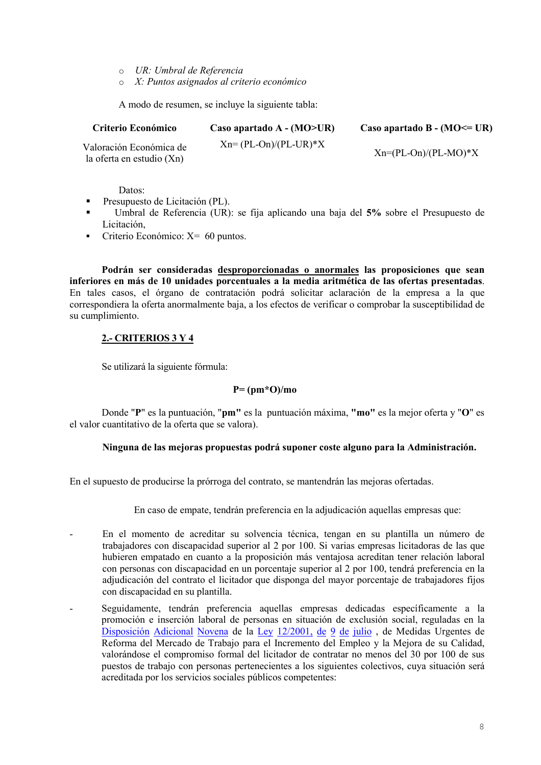- o UR: Umbral de Referencia
- X: Puntos asignados al criterio económico  $\circ$

A modo de resumen, se incluye la siguiente tabla:

| Criterio Económico                                   | Caso apartado $A - (MO > UR)$ | Caso apartado B - $(MO \leq UN)$ |
|------------------------------------------------------|-------------------------------|----------------------------------|
| Valoración Económica de<br>la oferta en estudio (Xn) | $Xn = (PL-On)/(PL-UR)*X$      | $Xn=(PL-On)/(PL-MO)*X$           |

Datos:

- Presupuesto de Licitación (PL).
- Umbral de Referencia (UR): se fija aplicando una baja del 5% sobre el Presupuesto de Licitación,
- Criterio Económico:  $X = 60$  puntos.

Podrán ser consideradas desproporcionadas o anormales las proposiciones que sean inferiores en más de 10 unidades porcentuales a la media aritmética de las ofertas presentadas. En tales casos, el órgano de contratación podrá solicitar aclaración de la empresa a la que correspondiera la oferta anormalmente baja, a los efectos de verificar o comprobar la susceptibilidad de su cumplimiento.

## $2.-CRITERIOS 3Y4$

Se utilizará la siguiente fórmula:

## $P = (pm*O)/mo$

Donde "P" es la puntuación, "pm" es la puntuación máxima, "mo" es la mejor oferta y "O" es el valor cuantitativo de la oferta que se valora).

### Ninguna de las meioras propuestas podrá suponer coste alguno para la Administración.

En el supuesto de producirse la prórroga del contrato, se mantendrán las mejoras ofertadas.

En caso de empate, tendrán preferencia en la adjudicación aquellas empresas que:

- En el momento de acreditar su solvencia técnica, tengan en su plantilla un número de trabajadores con discapacidad superior al 2 por 100. Si varias empresas licitadoras de las que hubieren empatado en cuanto a la proposición más ventajosa acreditan tener relación laboral con personas con discapacidad en un porcentaie superior al 2 por 100, tendrá preferencia en la adjudicación del contrato el licitador que disponga del mayor porcentaje de trabajadores fijos con discapacidad en su plantilla.
- Seguidamente, tendrán preferencia aquellas empresas dedicadas específicamente a la promoción e inserción laboral de personas en situación de exclusión social, reguladas en la Disposición Adicional Novena de la Ley 12/2001, de 9 de julio, de Medidas Urgentes de Reforma del Mercado de Trabajo para el Incremento del Empleo y la Mejora de su Calidad. valorándose el compromiso formal del licitador de contratar no menos del 30 por 100 de sus puestos de trabajo con personas pertenecientes a los siguientes colectivos, cuva situación será acreditada por los servicios sociales públicos competentes: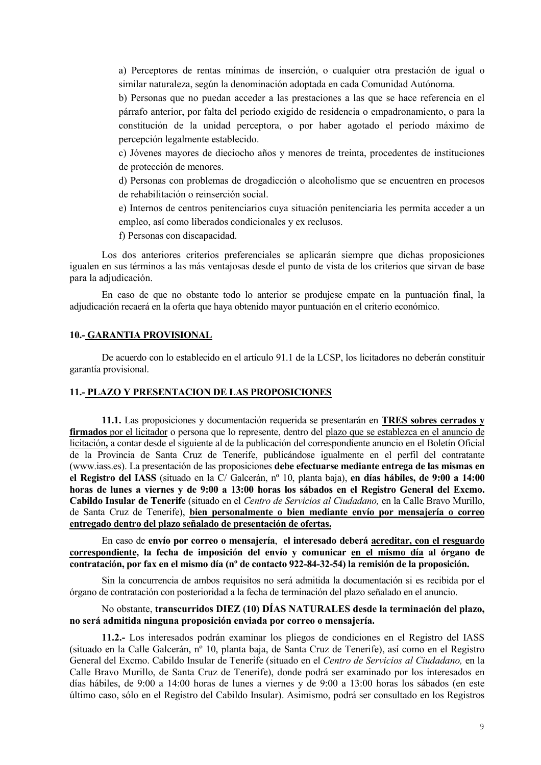a) Perceptores de rentas mínimas de inserción, o cualquier otra prestación de igual o similar naturaleza, según la denominación adoptada en cada Comunidad Autónoma.

b) Personas que no puedan acceder a las prestaciones a las que se hace referencia en el párrafo anterior, por falta del período exigido de residencia o empadronamiento, o para la constitución de la unidad perceptora, o por haber agotado el período máximo de percepción legalmente establecido.

c) Jóvenes mayores de dieciocho años y menores de treinta, procedentes de instituciones de protección de menores.

d) Personas con problemas de drogadicción o alcoholismo que se encuentren en procesos de rehabilitación o reinserción social.

e) Internos de centros penitenciarios cuya situación penitenciaria les permita acceder a un empleo, así como liberados condicionales y ex reclusos.

f) Personas con discapacidad.

Los dos anteriores criterios preferenciales se aplicarán siempre que dichas proposiciones igualen en sus términos a las más ventajosas desde el punto de vista de los criterios que sirvan de base para la adiudicación.

En caso de que no obstante todo lo anterior se produjese empate en la puntuación final, la adjudicación recaerá en la oferta que haya obtenido mayor puntuación en el criterio económico.

### **10.- GARANTIA PROVISIONAL**

De acuerdo con lo establecido en el artículo 91.1 de la LCSP, los licitadores no deberán constituir garantía provisional.

### 11.- PLAZO Y PRESENTACION DE LAS PROPOSICIONES

11.1. Las proposiciones y documentación requerida se presentarán en TRES sobres cerrados y firmados por el licitador o persona que lo represente, dentro del plazo que se establezca en el anuncio de licitación, a contar desde el siguiente al de la publicación del correspondiente anuncio en el Boletín Oficial de la Provincia de Santa Cruz de Tenerife, publicándose igualmente en el perfil del contratante (www.jass.es). La presentación de las proposiciones debe efectuarse mediante entrega de las mismas en el Registro del IASS (situado en la C/ Galcerán, nº 10, planta baja), en días hábiles, de 9:00 a 14:00 horas de lunes a viernes y de 9:00 a 13:00 horas los sábados en el Registro General del Exemo. Cabildo Insular de Tenerife (situado en el Centro de Servicios al Ciudadano, en la Calle Bravo Murillo, de Santa Cruz de Tenerife), bien personalmente o bien mediante envío por mensajería o correo entregado dentro del plazo señalado de presentación de ofertas.

En caso de envío por correo o mensajería, el interesado deberá acreditar, con el resguardo correspondiente, la fecha de imposición del envío y comunicar en el mismo día al órgano de contratación, por fax en el mismo día (nº de contacto 922-84-32-54) la remisión de la proposición.

Sin la concurrencia de ambos requisitos no será admitida la documentación si es recibida por el órgano de contratación con posterioridad a la fecha de terminación del plazo señalado en el anuncio.

#### No obstante, transcurridos DIEZ (10) DÍAS NATURALES desde la terminación del plazo, no será admitida ninguna proposición enviada por correo o mensajería.

11.2.- Los interesados podrán examinar los pliegos de condiciones en el Registro del IASS (situado en la Calle Galcerán, nº 10, planta baja, de Santa Cruz de Tenerife), así como en el Registro General del Excmo. Cabildo Insular de Tenerife (situado en el Centro de Servicios al Ciudadano, en la Calle Bravo Murillo, de Santa Cruz de Tenerife), donde podrá ser examinado por los interesados en días hábiles, de 9:00 a 14:00 horas de lunes a viernes y de 9:00 a 13:00 horas los sábados (en este último caso, sólo en el Registro del Cabildo Insular). Asimismo, podrá ser consultado en los Registros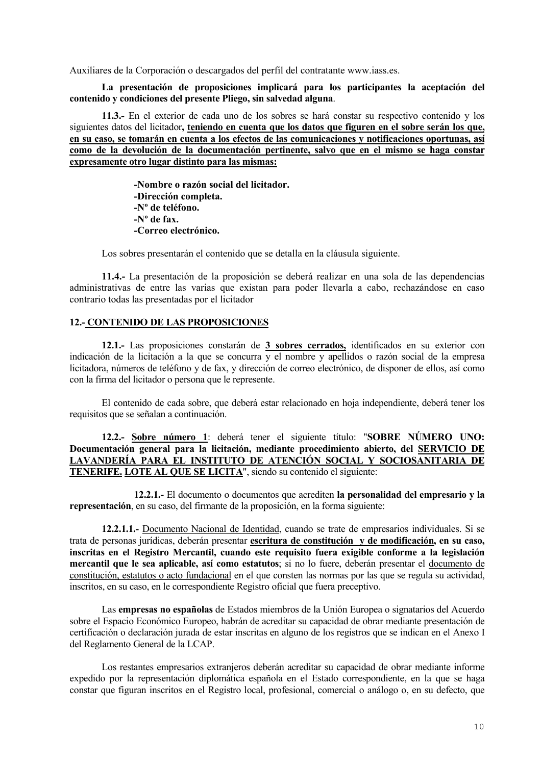Auxiliares de la Corporación o descargados del perfil del contratante www.iass.es.

La presentación de proposiciones implicará para los participantes la aceptación del contenido y condiciones del presente Pliego, sin salvedad alguna.

11.3.- En el exterior de cada uno de los sobres se hará constar su respectivo contenido y los siguientes datos del licitador, teniendo en cuenta que los datos que figuren en el sobre serán los que, en su caso, se tomarán en cuenta a los efectos de las comunicaciones y notificaciones oportunas, así como de la devolución de la documentación pertinente, salvo que en el mismo se haga constar expresamente otro lugar distinto para las mismas:

> -Nombre o razón social del licitador. -Dirección completa. -N° de teléfono. -N° de fax. -Correo electrónico.

Los sobres presentarán el contenido que se detalla en la cláusula siguiente.

11.4.- La presentación de la proposición se deberá realizar en una sola de las dependencias administrativas de entre las varias que existan para poder llevarla a cabo, rechazándose en caso contrario todas las presentadas por el licitador

### **12.- CONTENIDO DE LAS PROPOSICIONES**

12.1.- Las proposiciones constarán de 3 sobres cerrados, identificados en su exterior con indicación de la licitación a la que se concurra y el nombre y apellidos o razón social de la empresa licitadora, números de teléfono y de fax, y dirección de correo electrónico, de disponer de ellos, así como con la firma del licitador o persona que le represente.

El contenido de cada sobre, que deberá estar relacionado en hoja independiente, deberá tener los requisitos que se señalan a continuación.

12.2.- Sobre número 1: deberá tener el siguiente título: "SOBRE NÚMERO UNO: Documentación general para la licitación, mediante procedimiento abierto, del SERVICIO DE LAVANDERÍA PARA EL INSTITUTO DE ATENCIÓN SOCIAL Y SOCIOSANITARIA DE **TENERIFE.** LOTE AL QUE SE LICITA", siendo su contenido el siguiente:

12.2.1. El documento o documentos que acrediten la personalidad del empresario y la representación, en su caso, del firmante de la proposición, en la forma siguiente:

12.2.1.1.- Documento Nacional de Identidad, cuando se trate de empresarios individuales. Si se trata de personas jurídicas, deberán presentar escritura de constitución y de modificación, en su caso, inscritas en el Registro Mercantil, cuando este requisito fuera exigible conforme a la legislación mercantil que le sea aplicable, así como estatutos: si no lo fuere, deberán presentar el documento de constitución, estatutos o acto fundacional en el que consten las normas por las que se regula su actividad, inscritos, en su caso, en le correspondiente Registro oficial que fuera preceptivo.

Las empresas no españolas de Estados miembros de la Unión Europea o signatarios del Acuerdo sobre el Espacio Económico Europeo, habrán de acreditar su capacidad de obrar mediante presentación de certificación o declaración jurada de estar inscritas en alguno de los registros que se indican en el Anexo I del Reglamento General de la LCAP.

Los restantes empresarios extranjeros deberán acreditar su capacidad de obrar mediante informe expedido por la representación diplomática española en el Estado correspondiente, en la que se haga constar que figuran inscritos en el Registro local, profesional, comercial o análogo o, en su defecto, que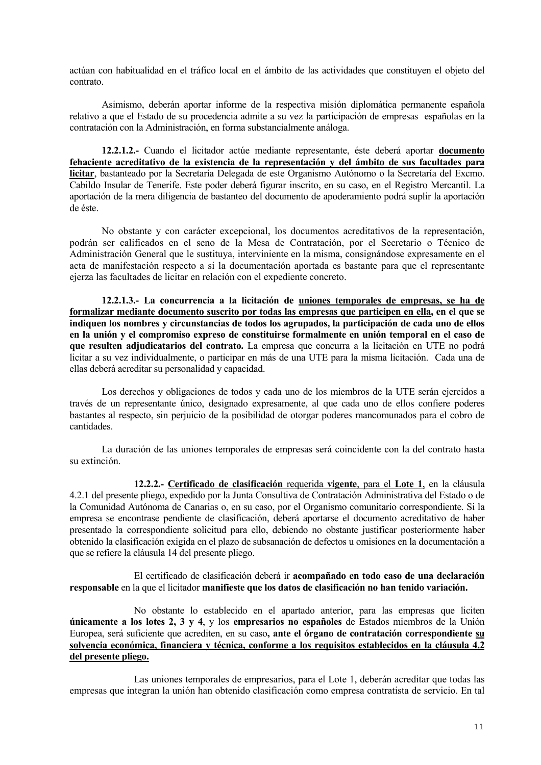actúan con habitualidad en el tráfico local en el ámbito de las actividades que constituyen el objeto del contrato.

Asimismo, deberán aportar informe de la respectiva misión diplomática permanente española relativo a que el Estado de su procedencia admite a su vez la participación de empresas españolas en la contratación con la Administración, en forma substancialmente análoga.

12.2.1.2. Cuando el licitador actúe mediante representante, éste deberá aportar documento fehaciente acreditativo de la existencia de la representación y del ámbito de sus facultades para licitar, bastanteado por la Secretaría Delegada de este Organismo Autónomo o la Secretaría del Excmo. Cabildo Insular de Tenerife. Este poder deberá figurar inscrito, en su caso, en el Registro Mercantil. La aportación de la mera diligencia de bastanteo del documento de apoderamiento podrá suplir la aportación de éste.

No obstante y con carácter excepcional, los documentos acreditativos de la representación, podrán ser calificados en el seno de la Mesa de Contratación, por el Secretario o Técnico de Administración General que le sustituya, interviniente en la misma, consignándose expresamente en el acta de manifestación respecto a si la documentación aportada es bastante para que el representante ejerza las facultades de licitar en relación con el expediente concreto.

12.2.1.3.- La concurrencia a la licitación de uniones temporales de empresas, se ha de formalizar mediante documento suscrito por todas las empresas que participen en ella, en el que se indiquen los nombres y circunstancias de todos los agrupados, la participación de cada uno de ellos en la unión y el compromiso expreso de constituirse formalmente en unión temporal en el caso de que resulten adjudicatarios del contrato. La empresa que concurra a la licitación en UTE no podrá licitar a su vez individualmente, o participar en más de una UTE para la misma licitación. Cada una de ellas deberá acreditar su personalidad y capacidad.

Los derechos y obligaciones de todos y cada uno de los miembros de la UTE serán ejercidos a través de un representante único, designado expresamente, al que cada uno de ellos confiere poderes bastantes al respecto, sin periuicio de la posibilidad de otorgar poderes mancomunados para el cobro de cantidades

La duración de las uniones temporales de empresas será coincidente con la del contrato hasta su extinción.

12.2.2.- Certificado de clasificación requerida vigente, para el Lote 1, en la cláusula 4.2.1 del presente pliego, expedido por la Junta Consultiva de Contratación Administrativa del Estado o de la Comunidad Autónoma de Canarias o, en su caso, por el Organismo comunitario correspondiente. Si la empresa se encontrase pendiente de clasificación, deberá aportarse el documento acreditativo de haber presentado la correspondiente solicitud para ello, debiendo no obstante justificar posteriormente haber obtenido la clasificación exigida en el plazo de subsanación de defectos u omisiones en la documentación a que se refiere la cláusula 14 del presente pliego.

El certificado de clasificación deberá ir acompañado en todo caso de una declaración responsable en la que el licitador manifieste que los datos de clasificación no han tenido variación.

No obstante lo establecido en el apartado anterior, para las empresas que liciten **únicamente a los lotes 2, 3 y 4, y los empresarios no españoles** de Estados miembros de la Unión Europea, será suficiente que acrediten, en su caso, ante el órgano de contratación correspondiente su solvencia económica, financiera y técnica, conforme a los requisitos establecidos en la cláusula 4.2 del presente pliego.

Las uniones temporales de empresarios, para el Lote 1, deberán acreditar que todas las empresas que integran la unión han obtenido clasificación como empresa contratista de servicio. En tal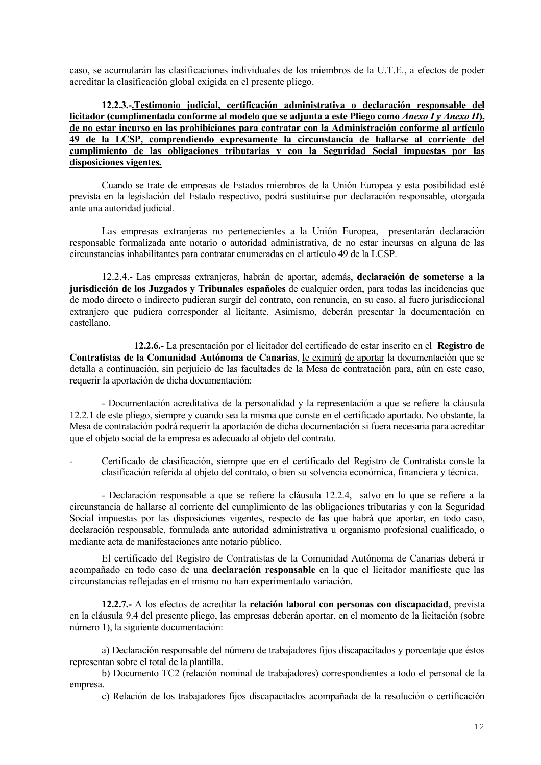caso, se acumularán las clasificaciones individuales de los miembros de la U.T.E., a efectos de poder acreditar la clasificación global exigida en el presente pliego.

### 12.2.3.-Testimonio judicial, certificación administrativa o declaración responsable del licitador (cumplimentada conforme al modelo que se adjunta a este Pliego como Anexo I y Anexo II), de no estar incurso en las prohibiciones para contratar con la Administración conforme al artículo 49 de la LCSP, comprendiendo expresamente la circunstancia de hallarse al corriente del cumplimiento de las obligaciones tributarias y con la Seguridad Social impuestas por las disposiciones vigentes.

Cuando se trate de empresas de Estados miembros de la Unión Europea y esta posibilidad esté prevista en la legislación del Estado respectivo, podrá sustituirse por declaración responsable, otorgada ante una autoridad judicial.

Las empresas extranjeras no pertenecientes a la Unión Europea, presentarán declaración responsable formalizada ante notario o autoridad administrativa, de no estar incursas en alguna de las circunstancias inhabilitantes para contratar enumeradas en el artículo 49 de la LCSP.

12.2.4.- Las empresas extranjeras, habrán de aportar, además, declaración de someterse a la jurisdicción de los Juzgados y Tribunales españoles de cualquier orden, para todas las incidencias que de modo directo o indirecto pudieran surgir del contrato, con renuncia, en su caso, al fuero jurisdiccional extranjero que pudiera corresponder al licitante. Asimismo, deberán presentar la documentación en castellano.

12.2.6.- La presentación por el licitador del certificado de estar inscrito en el Registro de Contratistas de la Comunidad Autónoma de Canarias, le eximirá de aportar la documentación que se detalla a continuación, sin perjuicio de las facultades de la Mesa de contratación para, aún en este caso, requerir la aportación de dicha documentación:

- Documentación acreditativa de la personalidad y la representación a que se refiere la cláusula 12.2.1 de este pliego, siempre y cuando sea la misma que conste en el certificado aportado. No obstante, la Mesa de contratación podrá requerir la aportación de dicha documentación si fuera necesaria para acreditar que el objeto social de la empresa es adecuado al objeto del contrato.

Certificado de clasificación, siempre que en el certificado del Registro de Contratista conste la clasificación referida al objeto del contrato, o bien su solvencia económica, financiera y técnica.

- Declaración responsable a que se refiere la cláusula 12.2.4, salvo en lo que se refiere a la circunstancia de hallarse al corriente del cumplimiento de las obligaciones tributarias y con la Seguridad Social impuestas por las disposiciones vigentes, respecto de las que habrá que aportar, en todo caso, declaración responsable, formulada ante autoridad administrativa u organismo profesional cualificado, o mediante acta de manifestaciones ante notario público.

El certificado del Registro de Contratistas de la Comunidad Autónoma de Canarias deberá ir acompañado en todo caso de una declaración responsable en la que el licitador manifieste que las circunstancias reflejadas en el mismo no han experimentado variación.

12.2.7.- A los efectos de acreditar la relación laboral con personas con discapacidad, prevista en la cláusula 9.4 del presente pliego, las empresas deberán aportar, en el momento de la licitación (sobre número 1), la siguiente documentación:

a) Declaración responsable del número de trabajadores fijos discapacitados y porcentaje que éstos representan sobre el total de la plantilla.

b) Documento TC2 (relación nominal de trabajadores) correspondientes a todo el personal de la empresa.

c) Relación de los trabajadores fijos discapacitados acompañada de la resolución o certificación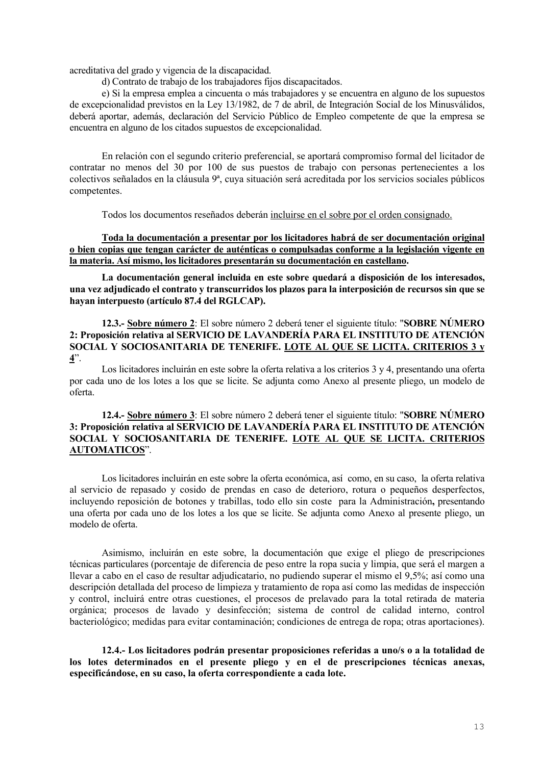acreditativa del grado y vigencia de la discapacidad.

d) Contrato de trabajo de los trabajadores fijos discapacitados.

e) Si la empresa emplea a cincuenta o más trabajadores y se encuentra en alguno de los supuestos de excepcionalidad previstos en la Ley 13/1982, de 7 de abril, de Integración Social de los Minusválidos, deberá aportar, además, declaración del Servicio Público de Empleo competente de que la empresa se encuentra en alguno de los citados supuestos de excepcionalidad.

En relación con el segundo criterio preferencial, se aportará compromiso formal del licitador de contratar no menos del 30 por 100 de sus puestos de trabajo con personas pertenecientes a los colectivos señalados en la cláusula 9ª, cuya situación será acreditada por los servicios sociales públicos competentes.

Todos los documentos reseñados deberán incluirse en el sobre por el orden consignado.

Toda la documentación a presentar por los licitadores habrá de ser documentación original o bien copias que tengan carácter de auténticas o compulsadas conforme a la legislación vigente en la materia. Así mismo, los licitadores presentarán su documentación en castellano.

La documentación general incluida en este sobre quedará a disposición de los interesados, una vez adjudicado el contrato y transcurridos los plazos para la interposición de recursos sin que se havan interpuesto (artículo 87.4 del RGLCAP).

12.3.- Sobre número 2: El sobre número 2 deberá tener el siguiente título: "SOBRE NÚMERO 2: Proposición relativa al SERVICIO DE LAVANDERÍA PARA EL INSTITUTO DE ATENCIÓN SOCIAL Y SOCIOSANITARIA DE TENERIFE. LOTE AL QUE SE LICITA. CRITERIOS 3 y  $4$ ".

Los licitadores incluirán en este sobre la oferta relativa a los criterios 3 y 4, presentando una oferta por cada uno de los lotes a los que se licite. Se adjunta como Anexo al presente pliego, un modelo de oferta.

### 12.4.- Sobre número 3: El sobre número 2 deberá tener el siguiente título: "SOBRE NÚMERO 3: Proposición relativa al SERVICIO DE LAVANDERÍA PARA EL INSTITUTO DE ATENCIÓN SOCIAL Y SOCIOSANITARIA DE TENERIFE. LOTE AL QUE SE LICITA. CRITERIOS **AUTOMATICOS".**

Los licitadores incluirán en este sobre la oferta económica, así como, en su caso, la oferta relativa al servicio de repasado y cosido de prendas en caso de deterioro, rotura o pequeños desperfectos, incluyendo reposición de botones y trabillas, todo ello sin coste para la Administración, presentando una oferta por cada uno de los lotes a los que se licite. Se adjunta como Anexo al presente pliego, un modelo de oferta

Asimismo, incluirán en este sobre, la documentación que exige el pliego de prescripciones técnicas particulares (porcentaje de diferencia de peso entre la ropa sucia y limpia, que será el margen a llevar a cabo en el caso de resultar adjudicatario, no pudiendo superar el mismo el 9,5%; así como una descripción detallada del proceso de limpieza y tratamiento de ropa así como las medidas de inspección y control, incluirá entre otras cuestiones, el procesos de prelavado para la total retirada de materia orgánica; procesos de lavado y desinfección; sistema de control de calidad interno, control bacteriológico: medidas para evitar contaminación: condiciones de entrega de ropa; otras aportaciones).

12.4.- Los licitadores podrán presentar proposiciones referidas a uno/s o a la totalidad de los lotes determinados en el presente pliego  $\vec{v}$  en el de prescripciones técnicas anexas. especificándose, en su caso, la oferta correspondiente a cada lote.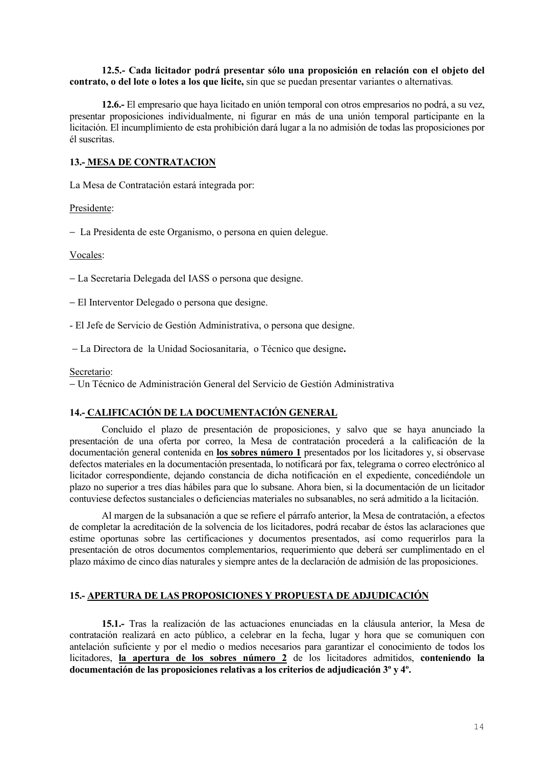### 12.5.- Cada licitador podrá presentar sólo una proposición en relación con el objeto del contrato, o del lote o lotes a los que licite, sin que se puedan presentar variantes o alternativas.

12.6.- El empresario que hava licitado en unión temporal con otros empresarios no podrá, a su vez. presentar proposiciones individualmente, ni figurar en más de una unión temporal participante en la licitación. El incumplimiento de esta prohibición dará lugar a la no admisión de todas las proposiciones por él suscritas

### **13.- MESA DE CONTRATACION**

La Mesa de Contratación estará integrada por:

### Presidente:

- La Presidenta de este Organismo, o persona en quien delegue.

#### Vocales:

- La Secretaria Delegada del IASS o persona que designe.

- El Interventor Delegado o persona que designe.

- El Jefe de Servicio de Gestión Administrativa, o persona que designe.

- La Directora de la Unidad Sociosanitaria, o Técnico que designe.

#### Secretario:

- Un Técnico de Administración General del Servicio de Gestión Administrativa

### 14.- CALIFICACIÓN DE LA DOCUMENTACIÓN GENERAL

Concluido el plazo de presentación de proposiciones, y salvo que se haya anunciado la presentación de una oferta por correo, la Mesa de contratación procederá a la calificación de la documentación general contenida en los sobres número 1 presentados por los licitadores y, si observase defectos materiales en la documentación presentada, lo notificará por fax, telegrama o correo electrónico al licitador correspondiente, dejando constancia de dicha notificación en el expediente, concediéndole un plazo no superior a tres días hábiles para que lo subsane. Ahora bien, si la documentación de un licitador contuviese defectos sustanciales o deficiencias materiales no subsanables, no será admitido a la licitación.

Al margen de la subsanación a que se refiere el párrafo anterior, la Mesa de contratación, a efectos de completar la acreditación de la solvencia de los licitadores, podrá recabar de éstos las aclaraciones que estime oportunas sobre las certificaciones y documentos presentados, así como requerirlos para la presentación de otros documentos complementarios, requerimiento que deberá ser cumplimentado en el plazo máximo de cinco días naturales y siempre antes de la declaración de admisión de las proposiciones.

### 15.- APERTURA DE LAS PROPOSICIONES Y PROPUESTA DE ADJUDICACIÓN

15.1.- Tras la realización de las actuaciones enunciadas en la cláusula anterior, la Mesa de contratación realizará en acto público, a celebrar en la fecha, lugar y hora que se comuniquen con antelación suficiente y por el medio o medios necesarios para garantizar el conocimiento de todos los licitadores, la apertura de los sobres número 2 de los licitadores admitidos, conteniendo la documentación de las proposiciones relativas a los criterios de adjudicación 3<sup>°</sup> y 4<sup>°</sup>.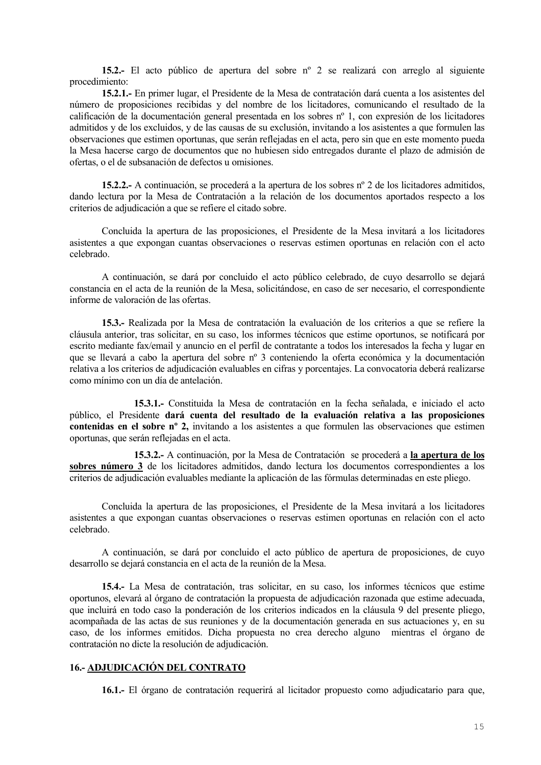15.2.- El acto público de apertura del sobre nº 2 se realizará con arreglo al siguiente procedimiento:

15.2.1. En primer lugar, el Presidente de la Mesa de contratación dará cuenta a los asistentes del número de proposiciones recibidas y del nombre de los licitadores, comunicando el resultado de la calificación de la documentación general presentada en los sobres nº 1, con expresión de los licitadores admitidos y de los excluidos, y de las causas de su exclusión, invitando a los asistentes a que formulen las observaciones que estimen oportunas, que serán reflejadas en el acta, pero sin que en este momento pueda la Mesa hacerse cargo de documentos que no hubiesen sido entregados durante el plazo de admisión de ofertas, o el de subsanación de defectos u omisiones.

15.2.2. A continuación, se procederá a la apertura de los sobres nº 2 de los licitadores admitidos, dando lectura por la Mesa de Contratación a la relación de los documentos aportados respecto a los criterios de adjudicación a que se refiere el citado sobre.

Concluida la apertura de las proposiciones, el Presidente de la Mesa invitará a los licitadores asistentes a que expongan cuantas observaciones o reservas estimen oportunas en relación con el acto celebrado.

A continuación, se dará por concluido el acto público celebrado, de cuyo desarrollo se dejará constancia en el acta de la reunión de la Mesa, solicitándose, en caso de ser necesario, el correspondiente informe de valoración de las ofertas

15.3.- Realizada por la Mesa de contratación la evaluación de los criterios a que se refiere la cláusula anterior, tras solicitar, en su caso, los informes técnicos que estime oportunos, se notificará por escrito mediante fax/email y anuncio en el perfil de contratante a todos los interesados la fecha y lugar en que se llevará a cabo la apertura del sobre nº 3 conteniendo la oferta económica y la documentación relativa a los criterios de adjudicación evaluables en cifras y porcentajes. La convocatoria deberá realizarse como mínimo con un día de antelación

15.3.1.- Constituida la Mesa de contratación en la fecha señalada, e iniciado el acto público, el Presidente dará cuenta del resultado de la evaluación relativa a las proposiciones contenidas en el sobre nº 2, invitando a los asistentes a que formulen las observaciones que estimen oportunas, que serán reflejadas en el acta.

15.3.2.- A continuación, por la Mesa de Contratación se procederá a la apertura de los sobres número 3 de los licitadores admitidos, dando lectura los documentos correspondientes a los criterios de adjudicación evaluables mediante la aplicación de las fórmulas determinadas en este pliego.

Concluida la apertura de las proposiciones, el Presidente de la Mesa invitará a los licitadores asistentes a que expongan cuantas observaciones o reservas estimen oportunas en relación con el acto celebrado.

A continuación, se dará por concluido el acto público de apertura de proposiciones, de cuyo desarrollo se dejará constancia en el acta de la reunión de la Mesa.

15.4. La Mesa de contratación, tras solicitar, en su caso, los informes técnicos que estime oportunos, elevará al órgano de contratación la propuesta de adjudicación razonada que estime adecuada, que incluirá en todo caso la ponderación de los criterios indicados en la cláusula 9 del presente pliego, acompañada de las actas de sus reuniones y de la documentación generada en sus actuaciones y, en su caso, de los informes emitidos. Dicha propuesta no crea derecho alguno mientras el órgano de contratación no dicte la resolución de adjudicación.

### **16.- ADJUDICACIÓN DEL CONTRATO**

16.1.- El órgano de contratación requerirá al licitador propuesto como adjudicatario para que,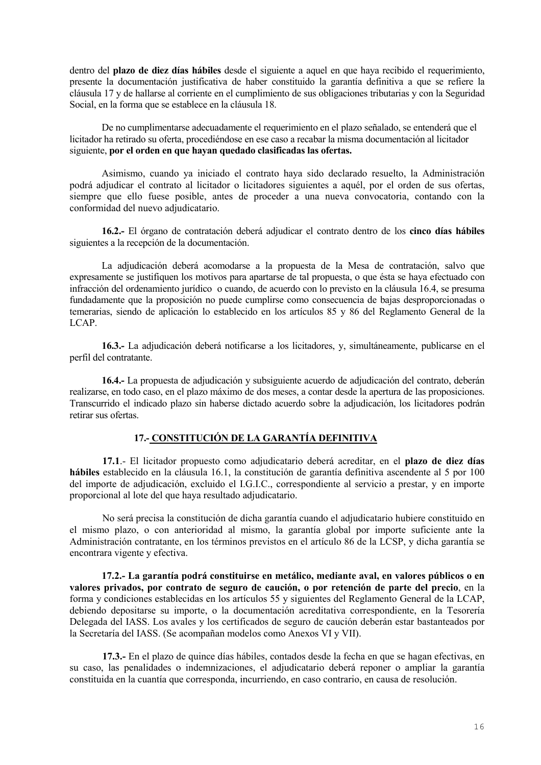dentro del plazo de diez días hábiles desde el siguiente a aquel en que haya recibido el requerimiento, presente la documentación justificativa de haber constituido la garantía definitiva a que se refiere la cláusula 17 y de hallarse al corriente en el cumplimiento de sus obligaciones tributarias y con la Seguridad Social, en la forma que se establece en la cláusula 18.

De no cumplimentarse adecuadamente el requerimiento en el plazo señalado, se entenderá que el licitador ha retirado su oferta, procediéndose en ese caso a recabar la misma documentación al licitador siguiente, por el orden en que havan quedado clasificadas las ofertas.

Asimismo, cuando ya iniciado el contrato haya sido declarado resuelto, la Administración podrá adjudicar el contrato al licitador o licitadores siguientes a aquél, por el orden de sus ofertas, siempre que ello fuese posible, antes de proceder a una nueva convocatoria, contando con la conformidad del nuevo adjudicatario.

16.2.- El órgano de contratación deberá adjudicar el contrato dentro de los cinco días hábiles siguientes a la recepción de la documentación.

La adjudicación deberá acomodarse a la propuesta de la Mesa de contratación, salvo que expresamente se justifiquen los motivos para apartarse de tal propuesta, o que ésta se haya efectuado con infracción del ordenamiento jurídico o cuando, de acuerdo con lo previsto en la cláusula 16.4, se presuma fundadamente que la proposición no puede cumplirse como consecuencia de bajas desproporcionadas o temerarias, siendo de aplicación lo establecido en los artículos 85 y 86 del Reglamento General de la LCAP.

**16.3.** La adjudicación deberá notificarse a los licitadores, y, simultáneamente, publicarse en el perfil del contratante.

16.4.- La propuesta de adjudicación y subsiguiente acuerdo de adjudicación del contrato, deberán realizarse, en todo caso, en el plazo máximo de dos meses, a contar desde la apertura de las proposiciones. Transcurrido el indicado plazo sin haberse dictado acuerdo sobre la adjudicación, los licitadores podrán retirar sus ofertas.

## 17.- CONSTITUCIÓN DE LA GARANTÍA DEFINITIVA

17.1.- El licitador propuesto como adjudicatario deberá acreditar, en el plazo de diez días hábiles establecido en la cláusula 16.1, la constitución de garantía definitiva ascendente al 5 por 100 del importe de adjudicación, excluido el I.G.I.C., correspondiente al servicio a prestar, y en importe proporcional al lote del que hava resultado adjudicatario.

No será precisa la constitución de dicha garantía cuando el adjudicatario hubiere constituido en el mismo plazo, o con anterioridad al mismo, la garantía global por importe suficiente ante la Administración contratante, en los términos previstos en el artículo 86 de la LCSP, y dicha garantía se encontrara vigente y efectiva.

17.2.- La garantía podrá constituirse en metálico, mediante aval, en valores públicos o en valores privados, por contrato de seguro de caución, o por retención de parte del precio, en la forma y condiciones establecidas en los artículos 55 y siguientes del Reglamento General de la LCAP, debiendo depositarse su importe, o la documentación acreditativa correspondiente, en la Tesorería Delegada del IASS. Los avales y los certificados de seguro de caución deberán estar bastanteados por la Secretaría del IASS. (Se acompañan modelos como Anexos VI y VII).

17.3.- En el plazo de quince días hábiles, contados desde la fecha en que se hagan efectivas, en su caso, las penalidades o indemnizaciones, el adjudicatario deberá reponer o ampliar la garantía constituida en la cuantía que corresponda, incurriendo, en caso contrario, en causa de resolución.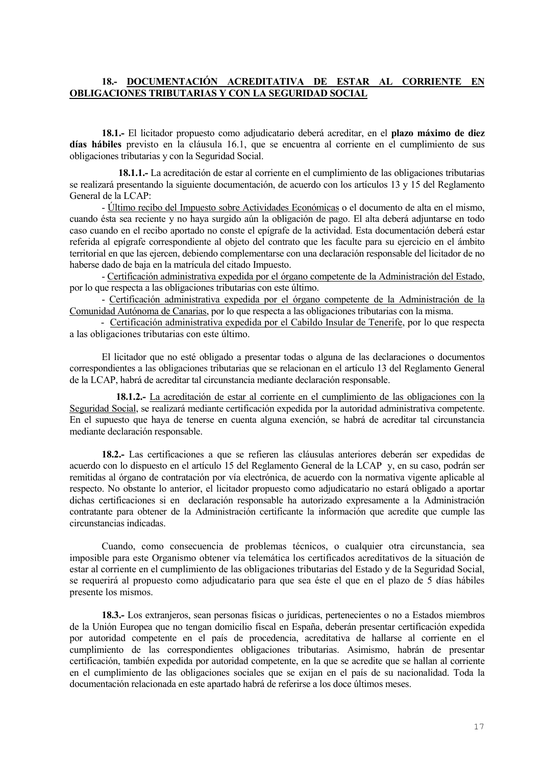### 18.- DOCUMENTACIÓN ACREDITATIVA DE ESTAR AL CORRIENTE EN **OBLIGACIONES TRIBUTARIAS Y CON LA SEGURIDAD SOCIAL**

18.1.- El licitador propuesto como adjudicatario deberá acreditar, en el plazo máximo de diez días hábiles previsto en la cláusula 16.1, que se encuentra al corriente en el cumplimiento de sus obligaciones tributarias y con la Seguridad Social.

18.1.1.- La acreditación de estar al corriente en el cumplimiento de las obligaciones tributarias se realizará presentando la siguiente documentación, de acuerdo con los artículos 13 y 15 del Reglamento General de la LCAP:

- Último recibo del Impuesto sobre Actividades Económicas o el documento de alta en el mismo, cuando ésta sea reciente y no hava surgido aún la obligación de pago. El alta deberá adjuntarse en todo caso cuando en el recibo aportado no conste el epígrafe de la actividad. Esta documentación deberá estar referida al epígrafe correspondiente al objeto del contrato que les faculte para su ejercicio en el ámbito territorial en que las ejercen, debiendo complementarse con una declaración responsable del licitador de no haberse dado de baja en la matrícula del citado Impuesto.

- Certificación administrativa expedida por el órgano competente de la Administración del Estado, por lo que respecta a las obligaciones tributarias con este último.

- Certificación administrativa expedida por el órgano competente de la Administración de la Comunidad Autónoma de Canarias, por lo que respecta a las obligaciones tributarias con la misma.

- Certificación administrativa expedida por el Cabildo Insular de Tenerife, por lo que respecta a las obligaciones tributarias con este último.

El licitador que no esté obligado a presentar todas o alguna de las declaraciones o documentos correspondientes a las obligaciones tributarias que se relacionan en el artículo 13 del Reglamento General de la LCAP, habrá de acreditar tal circunstancia mediante declaración responsable.

18.1.2.- La acreditación de estar al corriente en el cumplimiento de las obligaciones con la Seguridad Social, se realizará mediante certificación expedida por la autoridad administrativa competente. En el supuesto que haya de tenerse en cuenta alguna exención, se habrá de acreditar tal circunstancia mediante declaración responsable.

18.2.- Las certificaciones a que se refieren las cláusulas anteriores deberán ser expedidas de acuerdo con lo dispuesto en el artículo 15 del Reglamento General de la LCAP y, en su caso, podrán ser remitidas al órgano de contratación por vía electrónica, de acuerdo con la normativa vigente aplicable al respecto. No obstante lo anterior, el licitador propuesto como adjudicatario no estará obligado a aportar dichas certificaciones si en declaración responsable ha autorizado expresamente a la Administración contratante para obtener de la Administración certificante la información que acredite que cumple las circunstancias indicadas

Cuando, como consecuencia de problemas técnicos, o cualquier otra circunstancia, sea imposible para este Organismo obtener vía telemática los certificados acreditativos de la situación de estar al corriente en el cumplimiento de las obligaciones tributarias del Estado y de la Seguridad Social, se requerirá al propuesto como adjudicatario para que sea éste el que en el plazo de 5 días hábiles presente los mismos.

18.3.- Los extranjeros, sean personas físicas o jurídicas, pertenecientes o no a Estados miembros de la Unión Europea que no tengan domicilio fiscal en España, deberán presentar certificación expedida por autoridad competente en el país de procedencia, acreditativa de hallarse al corriente en el cumplimiento de las correspondientes obligaciones tributarias. Asimismo, habrán de presentar certificación, también expedida por autoridad competente, en la que se acredite que se hallan al corriente en el cumplimiento de las obligaciones sociales que se exijan en el país de su nacionalidad. Toda la documentación relacionada en este apartado habrá de referirse a los doce últimos meses.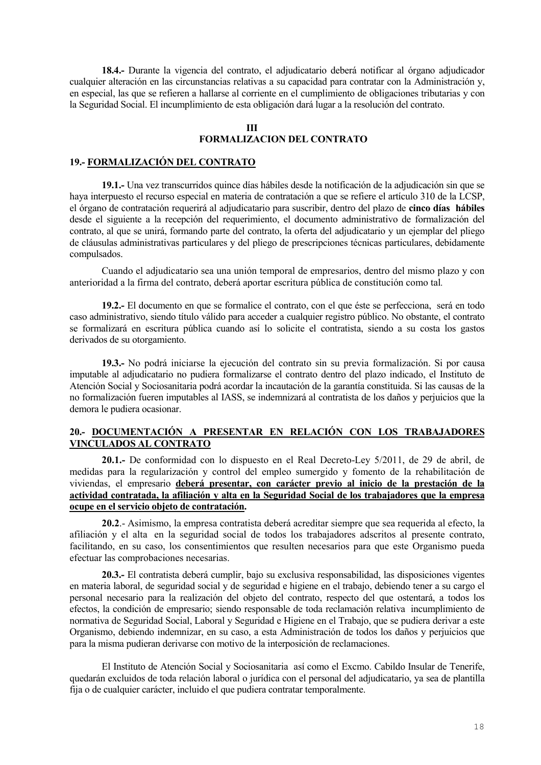18.4.- Durante la vigencia del contrato, el adjudicatario deberá notificar al órgano adjudicador cualquier alteración en las circunstancias relativas a su capacidad para contratar con la Administración y, en especial, las que se refieren a hallarse al corriente en el cumplimiento de obligaciones tributarias y con la Seguridad Social. El incumplimiento de esta obligación dará lugar a la resolución del contrato.

### $III$ FORMALIZACION DEL CONTRATO

### 19.- FORMALIZACIÓN DEL CONTRATO

19.1.- Una vez transcurridos quince días hábiles desde la notificación de la adjudicación sin que se hava interpuesto el recurso especial en materia de contratación a que se refiere el artículo 310 de la LCSP. el órgano de contratación requerirá al adjudicatario para suscribir, dentro del plazo de cinco días hábiles desde el siguiente a la recepción del requerimiento, el documento administrativo de formalización del contrato, al que se unirá, formando parte del contrato, la oferta del adjudicatario y un ejemplar del pliego de cláusulas administrativas particulares y del pliego de prescripciones técnicas particulares, debidamente compulsados.

Cuando el adjudicatario sea una unión temporal de empresarios, dentro del mismo plazo y con anterioridad a la firma del contrato, deberá aportar escritura pública de constitución como tal.

19.2.- El documento en que se formalice el contrato, con el que éste se perfecciona, será en todo caso administrativo, siendo título válido para acceder a cualquier registro público. No obstante, el contrato se formalizará en escritura pública cuando así lo solicite el contratista, siendo a su costa los gastos derivados de su otorgamiento.

19.3.- No podrá iniciarse la ejecución del contrato sin su previa formalización. Si por causa imputable al adjudicatario no pudiera formalizarse el contrato dentro del plazo indicado, el Instituto de Atención Social y Sociosanitaria podrá acordar la incautación de la garantía constituida. Si las causas de la no formalización fueren imputables al IASS, se indemnizará al contratista de los daños y perjuicios que la demora le pudiera ocasionar.

### 20.- DOCUMENTACIÓN A PRESENTAR EN RELACIÓN CON LOS TRABAJADORES **VINCULADOS AL CONTRATO**

20.1.- De conformidad con lo dispuesto en el Real Decreto-Ley 5/2011, de 29 de abril, de medidas para la regularización y control del empleo sumergido y fomento de la rehabilitación de viviendas, el empresario deberá presentar, con carácter previo al inicio de la prestación de la actividad contratada, la afiliación y alta en la Seguridad Social de los trabajadores que la empresa ocupe en el servicio objeto de contratación.

20.2.- Asimismo, la empresa contratista deberá acreditar siempre que sea requerida al efecto, la afiliación y el alta en la seguridad social de todos los trabajadores adscritos al presente contrato, facilitando, en su caso, los consentimientos que resulten necesarios para que este Organismo pueda efectuar las comprobaciones necesarias.

20.3.- El contratista deberá cumplir, bajo su exclusiva responsabilidad, las disposiciones vigentes en materia laboral, de seguridad social y de seguridad e higiene en el trabajo, debiendo tener a su cargo el personal necesario para la realización del objeto del contrato, respecto del que ostentará, a todos los efectos, la condición de empresario; siendo responsable de toda reclamación relativa incumplimiento de normativa de Seguridad Social, Laboral y Seguridad e Higiene en el Trabajo, que se pudiera derivar a este Organismo, debiendo indemnizar, en su caso, a esta Administración de todos los daños y periuicios que para la misma pudieran derivarse con motivo de la interposición de reclamaciones.

El Instituto de Atención Social y Sociosanitaria así como el Excmo. Cabildo Insular de Tenerife, quedarán excluidos de toda relación laboral o jurídica con el personal del adjudicatario, va sea de plantilla fija o de cualquier carácter, incluido el que pudiera contratar temporalmente.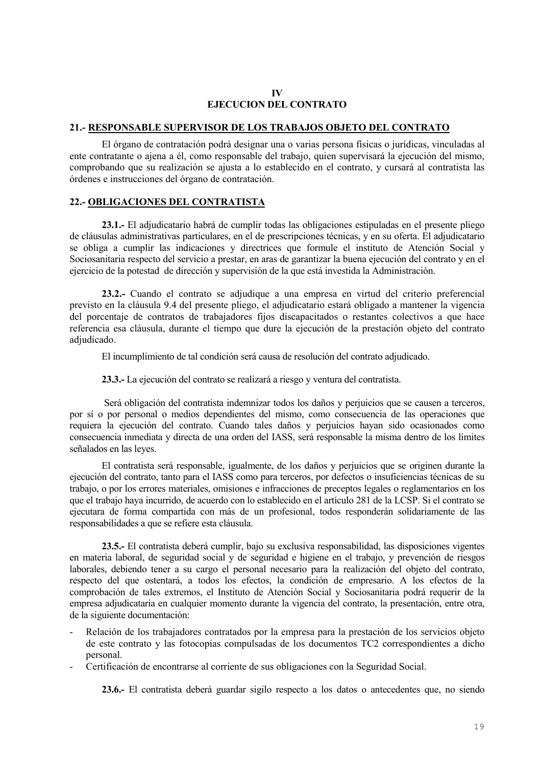#### IV **EJECUCION DEL CONTRATO**

### 21.- RESPONSABLE SUPERVISOR DE LOS TRABAJOS OBJETO DEL CONTRATO

El órgano de contratación podrá designar una o varias persona físicas o jurídicas, vinculadas al ente contratante o ajena a él, como responsable del trabajo, quien supervisará la ejecución del mismo, comprobando que su realización se ajusta a lo establecido en el contrato, y cursará al contratista las órdenes e instrucciones del órgano de contratación.

### 22.- OBLIGACIONES DEL CONTRATISTA

23.1.- El adjudicatario habrá de cumplir todas las obligaciones estipuladas en el presente pliego de cláusulas administrativas particulares, en el de prescripciones técnicas, y en su oferta. El adjudicatario se obliga a cumplir las indicaciones y directrices que formule el instituto de Atención Social y Sociosanitaria respecto del servicio a prestar, en aras de garantizar la buena ejecución del contrato y en el ejercicio de la potestad de dirección y supervisión de la que está investida la Administración.

23.2.- Cuando el contrato se adjudique a una empresa en virtud del criterio preferencial previsto en la cláusula 9.4 del presente pliego, el adjudicatario estará obligado a mantener la vigencia del porcentaje de contratos de trabajadores fijos discapacitados o restantes colectivos a que hace referencia esa cláusula, durante el tiempo que dure la ejecución de la prestación objeto del contrato adjudicado.

El incumplimiento de tal condición será causa de resolución del contrato adjudicado.

23.3.- La ejecución del contrato se realizará a riesgo y ventura del contratista.

Será obligación del contratista indemnizar todos los daños y perjuicios que se causen a terceros, por sí o por personal o medios dependientes del mismo, como consecuencia de las operaciones que requiera la ejecución del contrato. Cuando tales daños y perjuicios hayan sido ocasionados como consecuencia inmediata y directa de una orden del IASS, será responsable la misma dentro de los límites señalados en las leyes.

El contratista será responsable, igualmente, de los daños y perjuicios que se originen durante la ejecución del contrato, tanto para el IASS como para terceros, por defectos o insuficiencias técnicas de su trabajo, o por los errores materiales, omisiones e infracciones de preceptos legales o reglamentarios en los que el trabajo haya incurrido, de acuerdo con lo establecido en el artículo 281 de la LCSP. Si el contrato se ejecutara de forma compartida con más de un profesional, todos responderán solidariamente de las responsabilidades a que se refiere esta cláusula.

23.5.- El contratista deberá cumplir, bajo su exclusiva responsabilidad, las disposiciones vigentes en materia laboral, de seguridad social y de seguridad e higiene en el trabajo, y prevención de riesgos laborales, debiendo tener a su cargo el personal necesario para la realización del objeto del contrato, respecto del que ostentará, a todos los efectos, la condición de empresario. A los efectos de la comprobación de tales extremos, el Instituto de Atención Social y Sociosanitaria podrá requerir de la empresa adjudicataria en cualquier momento durante la vigencia del contrato, la presentación, entre otra, de la siguiente documentación:

- Relación de los trabajadores contratados por la empresa para la prestación de los servicios objeto de este contrato y las fotocopias compulsadas de los documentos TC2 correspondientes a dicho personal.
- Certificación de encontrarse al corriente de sus obligaciones con la Seguridad Social.

23.6.- El contratista deberá guardar sigilo respecto a los datos o antecedentes que, no siendo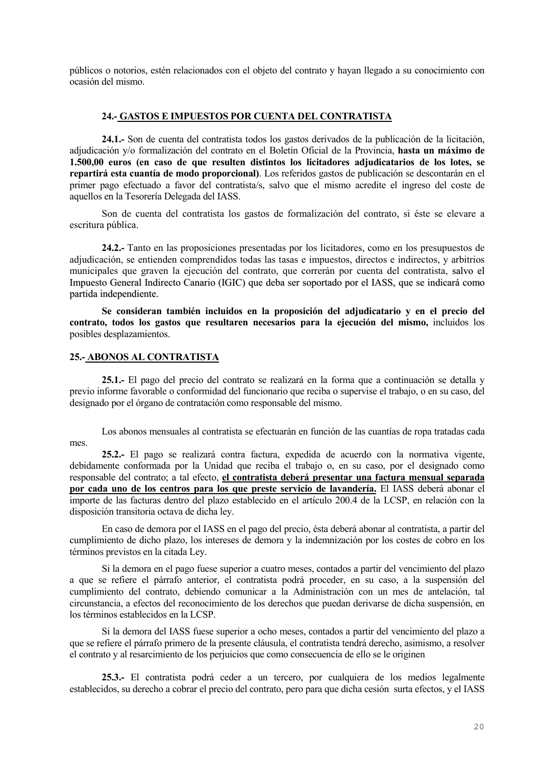públicos o notorios, estén relacionados con el objeto del contrato y hayan llegado a su conocimiento con ocasión del mismo.

### 24.- GASTOS E IMPUESTOS POR CUENTA DEL CONTRATISTA

24.1.- Son de cuenta del contratista todos los gastos derivados de la publicación de la licitación, adjudicación y/o formalización del contrato en el Boletín Oficial de la Provincia, hasta un máximo de 1.500,00 euros (en caso de que resulten distintos los licitadores adjudicatarios de los lotes, se repartirá esta cuantía de modo proporcional). Los referidos gastos de publicación se descontarán en el primer pago efectuado a favor del contratista/s, salvo que el mismo acredite el ingreso del coste de aquellos en la Tesorería Delegada del IASS.

Son de cuenta del contratista los gastos de formalización del contrato, si éste se elevare a escritura pública.

24.2. Tanto en las proposiciones presentadas por los licitadores, como en los presupuestos de adjudicación, se entienden comprendidos todas las tasas e impuestos, directos e indirectos, y arbitrios municipales que graven la ejecución del contrato, que correrán por cuenta del contratista, salvo el Impuesto General Indirecto Canario (IGIC) que deba ser soportado por el IASS, que se indicará como partida independiente.

Se consideran también incluidos en la proposición del adjudicatario y en el precio del contrato, todos los gastos que resultaren necesarios para la ejecución del mismo, incluidos los posibles desplazamientos.

#### 25.- ABONOS AL CONTRATISTA

25.1.- El pago del precio del contrato se realizará en la forma que a continuación se detalla y previo informe favorable o conformidad del funcionario que reciba o supervise el trabajo, o en su caso, del designado por el órgano de contratación como responsable del mismo.

Los abonos mensuales al contratista se efectuarán en función de las cuantías de ropa tratadas cada mes.

25.2.- El pago se realizará contra factura, expedida de acuerdo con la normativa vigente, debidamente conformada por la Unidad que reciba el trabajo o, en su caso, por el designado como responsable del contrato; a tal efecto, el contratista deberá presentar una factura mensual separada por cada uno de los centros para los que preste servicio de lavandería. El IASS deberá abonar el importe de las facturas dentro del plazo establecido en el artículo 200.4 de la LCSP, en relación con la disposición transitoria octava de dicha ley.

En caso de demora por el IASS en el pago del precio, ésta deberá abonar al contratista, a partir del cumplimiento de dicho plazo, los intereses de demora y la indemnización por los costes de cobro en los términos previstos en la citada Ley.

Si la demora en el pago fuese superior a cuatro meses, contados a partir del vencimiento del plazo a que se refiere el párrafo anterior, el contratista podrá proceder, en su caso, a la suspensión del cumplimiento del contrato, debiendo comunicar a la Administración con un mes de antelación, tal circunstancia, a efectos del reconocimiento de los derechos que puedan derivarse de dicha suspensión, en los términos establecidos en la LCSP.

Si la demora del IASS fuese superior a ocho meses, contados a partir del vencimiento del plazo a que se refiere el párrafo primero de la presente cláusula, el contratista tendrá derecho, asimismo, a resolver el contrato y al resarcimiento de los perjuicios que como consecuencia de ello se le originen

25.3.- El contratista podrá ceder a un tercero, por cualquiera de los medios legalmente establecidos, su derecho a cobrar el precio del contrato, pero para que dicha cesión surta efectos, y el IASS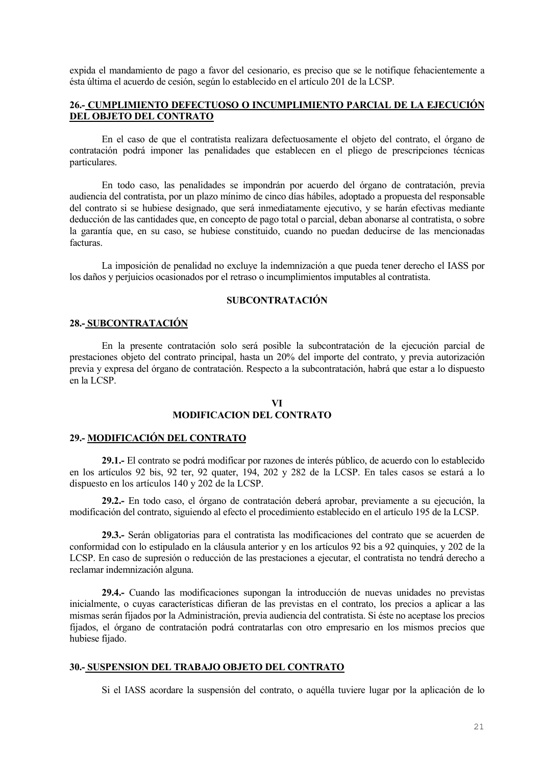expida el mandamiento de pago a favor del cesionario, es preciso que se le notifique fehacientemente a ésta última el acuerdo de cesión, según lo establecido en el artículo 201 de la LCSP.

### 26.- CUMPLIMIENTO DEFECTUOSO O INCUMPLIMIENTO PARCIAL DE LA EJECUCIÓN **DEL OBJETO DEL CONTRATO**

En el caso de que el contratista realizara defectuosamente el objeto del contrato, el órgano de contratación podrá imponer las penalidades que establecen en el pliego de prescripciones técnicas particulares.

En todo caso, las penalidades se impondrán por acuerdo del órgano de contratación, previa audiencia del contratista, por un plazo mínimo de cinco días hábiles, adoptado a propuesta del responsable del contrato si se hubiese designado, que será inmediatamente ejecutivo, y se harán efectivas mediante deducción de las cantidades que, en concepto de pago total o parcial, deban abonarse al contratista, o sobre la garantía que, en su caso, se hubiese constituido, cuando no puedan deducirse de las mencionadas facturas.

La imposición de penalidad no excluye la indemnización a que pueda tener derecho el IASS por los daños y perjuicios ocasionados por el retraso o incumplimientos imputables al contratista.

### **SUBCONTRATACIÓN**

### 28.- SUBCONTRATACIÓN

En la presente contratación solo será posible la subcontratación de la ejecución parcial de prestaciones objeto del contrato principal, hasta un 20% del importe del contrato, y previa autorización previa y expresa del órgano de contratación. Respecto a la subcontratación, habrá que estar a lo dispuesto en la LCSP.

#### $\mathbf{VI}$ **MODIFICACION DEL CONTRATO**

### 29.- MODIFICACIÓN DEL CONTRATO

29.1.- El contrato se podrá modificar por razones de interés público, de acuerdo con lo establecido en los artículos 92 bis, 92 ter, 92 quater, 194, 202 y 282 de la LCSP. En tales casos se estará a lo dispuesto en los artículos 140 y 202 de la LCSP.

29.2.- En todo caso, el órgano de contratación deberá aprobar, previamente a su ejecución, la modificación del contrato, siguiendo al efecto el procedimiento establecido en el artículo 195 de la LCSP.

29.3.- Serán obligatorias para el contratista las modificaciones del contrato que se acuerden de conformidad con lo estipulado en la cláusula anterior y en los artículos 92 bis a 92 quinquies, y 202 de la LCSP. En caso de supresión o reducción de las prestaciones a ejecutar, el contratista no tendrá derecho a reclamar indemnización alguna.

29.4.- Cuando las modificaciones supongan la introducción de nuevas unidades no previstas inicialmente, o cuvas características difieran de las previstas en el contrato, los precios a aplicar a las mismas serán fijados por la Administración, previa audiencia del contratista. Si éste no aceptase los precios fijados, el órgano de contratación podrá contratarlas con otro empresario en los mismos precios que hubiese fijado.

#### 30.- SUSPENSION DEL TRABAJO OBJETO DEL CONTRATO

Si el IASS acordare la suspensión del contrato, o aquélla tuviere lugar por la aplicación de lo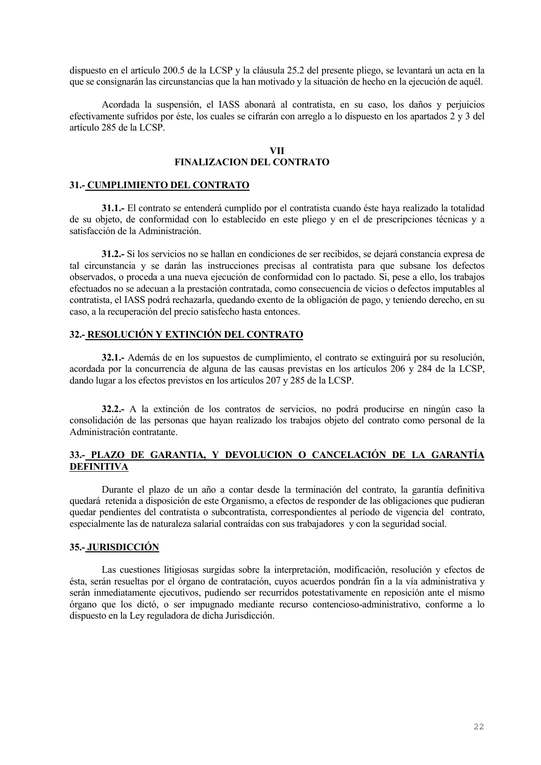dispuesto en el artículo 200.5 de la LCSP y la cláusula 25.2 del presente pliego, se levantará un acta en la que se consignarán las circunstancias que la han motivado y la situación de hecho en la ejecución de aquél.

Acordada la suspensión, el IASS abonará al contratista, en su caso, los daños y perjuicios efectivamente sufridos por éste, los cuales se cifrarán con arregio a lo dispuesto en los apartados 2 y 3 del artículo 285 de la LCSP.

#### **VII**

### **FINALIZACION DEL CONTRATO**

#### 31.- CUMPLIMIENTO DEL CONTRATO

31.1.- El contrato se entenderá cumplido por el contratista cuando éste haya realizado la totalidad de su objeto, de conformidad con lo establecido en este pliego y en el de prescripciones técnicas y a satisfacción de la Administración.

31.2.- Si los servicios no se hallan en condiciones de ser recibidos, se dejará constancia expresa de tal circunstancia y se darán las instrucciones precisas al contratista para que subsane los defectos observados, o proceda a una nueva ejecución de conformidad con lo pactado. Si, pese a ello, los trabajos efectuados no se adecuan a la prestación contratada, como consecuencia de vicios o defectos imputables al contratista, el IASS podrá rechazarla, quedando exento de la obligación de pago, y teniendo derecho, en su caso, a la recuperación del precio satisfecho hasta entonces.

### 32.- RESOLUCIÓN Y EXTINCIÓN DEL CONTRATO

32.1.- Además de en los supuestos de cumplimiento, el contrato se extinguirá por su resolución, acordada por la concurrencia de alguna de las causas previstas en los artículos 206 y 284 de la LCSP, dando lugar a los efectos previstos en los artículos 207 y 285 de la LCSP.

32.2.- A la extinción de los contratos de servicios, no podrá producirse en ningún caso la consolidación de las personas que hayan realizado los trabajos objeto del contrato como personal de la Administración contratante.

### 33.- PLAZO DE GARANTIA, Y DEVOLUCION O CANCELACIÓN DE LA GARANTÍA **DEFINITIVA**

Durante el plazo de un año a contar desde la terminación del contrato, la garantía definitiva quedará retenida a disposición de este Organismo, a efectos de responder de las obligaciones que pudieran quedar pendientes del contratista o subcontratista, correspondientes al período de vigencia del contrato, especialmente las de naturaleza salarial contraídas con sus trabajadores y con la seguridad social.

#### **35.- JURISDICCIÓN**

Las cuestiones litigiosas surgidas sobre la interpretación, modificación, resolución y efectos de ésta, serán resueltas por el órgano de contratación, cuyos acuerdos pondrán fin a la vía administrativa y serán inmediatamente ejecutivos, pudiendo ser recurridos potestativamente en reposición ante el mismo órgano que los dictó, o ser impugnado mediante recurso contencioso-administrativo, conforme a lo dispuesto en la Ley reguladora de dicha Jurisdicción.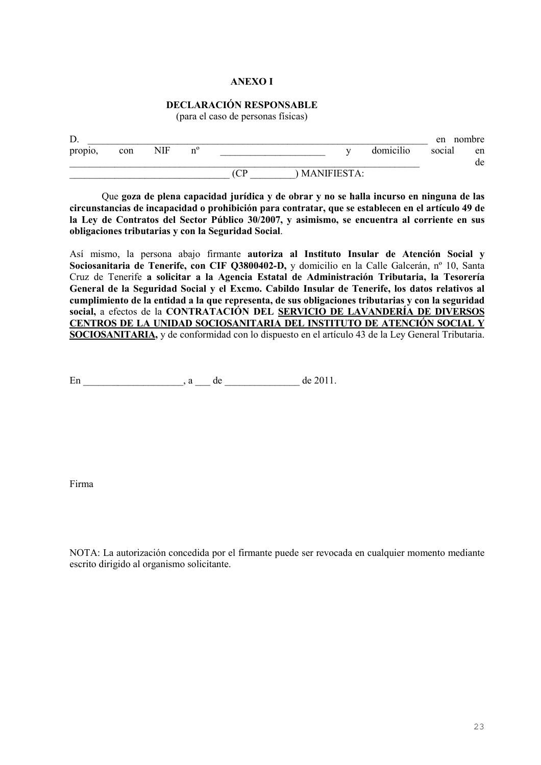### **ANEXO I**

# **DECLARACIÓN RESPONSABLE**

(para el caso de personas físicas)

| D.      |     |     |             |             |                    |           | en     | nombre   |
|---------|-----|-----|-------------|-------------|--------------------|-----------|--------|----------|
| propio, | con | NIF | $n^{\circ}$ |             | v                  | domicilio | social | en<br>de |
|         |     |     |             | $\cap$<br>◡ | <b>MANIFIESTA:</b> |           |        |          |

Que goza de plena capacidad jurídica y de obrar y no se halla incurso en ninguna de las circunstancias de incapacidad o prohibición para contratar, que se establecen en el artículo 49 de la Ley de Contratos del Sector Público 30/2007, y asimismo, se encuentra al corriente en sus obligaciones tributarias y con la Seguridad Social.

Así mismo, la persona abajo firmante autoriza al Instituto Insular de Atención Social y Sociosanitaria de Tenerife, con CIF Q3800402-D, y domicilio en la Calle Galcerán, nº 10, Santa Cruz de Tenerife a solicitar a la Agencia Estatal de Administración Tributaria, la Tesorería General de la Seguridad Social y el Excmo. Cabildo Insular de Tenerife, los datos relativos al cumplimiento de la entidad a la que representa, de sus obligaciones tributarias y con la seguridad social, a efectos de la CONTRATACIÓN DEL SERVICIO DE LAVANDERÍA DE DIVERSOS CENTROS DE LA UNIDAD SOCIOSANITARIA DEL INSTITUTO DE ATENCIÓN SOCIAL Y **SOCIOSANITARIA**, y de conformidad con lo dispuesto en el artículo 43 de la Ley General Tributaria.

Firma

NOTA: La autorización concedida por el firmante puede ser revocada en cualquier momento mediante escrito dirigido al organismo solicitante.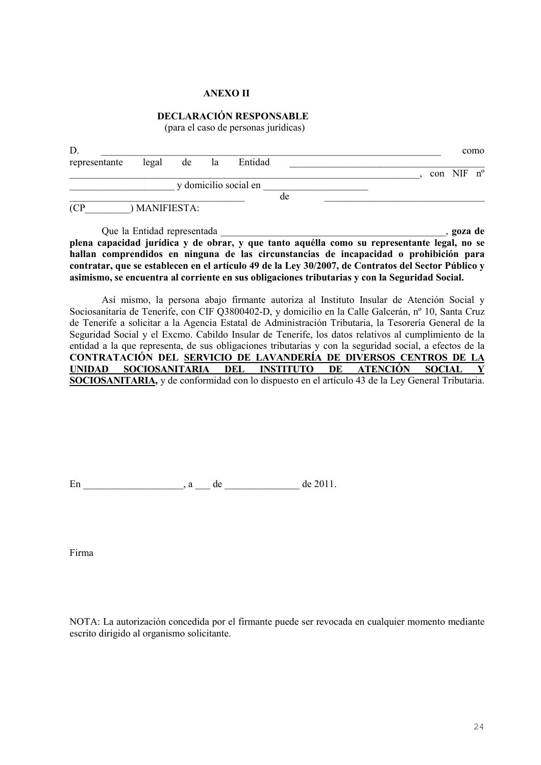#### **ANEXO II**

### **DECLARACIÓN RESPONSABLE**

(para el caso de personas jurídicas)

| D.            |               |    |    |                       |    |  |  |            | como |
|---------------|---------------|----|----|-----------------------|----|--|--|------------|------|
| representante | legal         | de | 1a | Entidad               |    |  |  |            |      |
|               |               |    |    |                       |    |  |  | con NIF nº |      |
|               |               |    |    | y domicilio social en |    |  |  |            |      |
|               |               |    |    |                       | de |  |  |            |      |
| (CP)          | ) MANIFIESTA: |    |    |                       |    |  |  |            |      |

Que la Entidad representada , goza de plena capacidad jurídica y de obrar, y que tanto aquélla como su representante legal, no se hallan comprendidos en ninguna de las circunstancias de incapacidad o prohibición para contratar, que se establecen en el artículo 49 de la Ley 30/2007, de Contratos del Sector Público y asimismo, se encuentra al corriente en sus obligaciones tributarias y con la Seguridad Social.

Así mismo, la persona abajo firmante autoriza al Instituto Insular de Atención Social y Sociosanitaria de Tenerife, con CIF Q3800402-D, y domicilio en la Calle Galcerán, nº 10, Santa Cruz de Tenerife a solicitar a la Agencia Estatal de Administración Tributaria, la Tesorería General de la Seguridad Social y el Excmo. Cabildo Insular de Tenerife, los datos relativos al cumplimiento de la entidad a la que representa, de sus obligaciones tributarias y con la seguridad social, a efectos de la CONTRATACIÓN DEL SERVICIO DE LAVANDERÍA DE DIVERSOS CENTROS DE LA SOCIOSANITARIA **INSTITUTO** DE **ATENCIÓN UNIDAD** DEL **SOCIAL** Y SOCIOSANITARIA, y de conformidad con lo dispuesto en el artículo 43 de la Ley General Tributaria.

En  $, a$  de  $de$  2011.

Firma

NOTA: La autorización concedida por el firmante puede ser revocada en cualquier momento mediante escrito dirigido al organismo solicitante.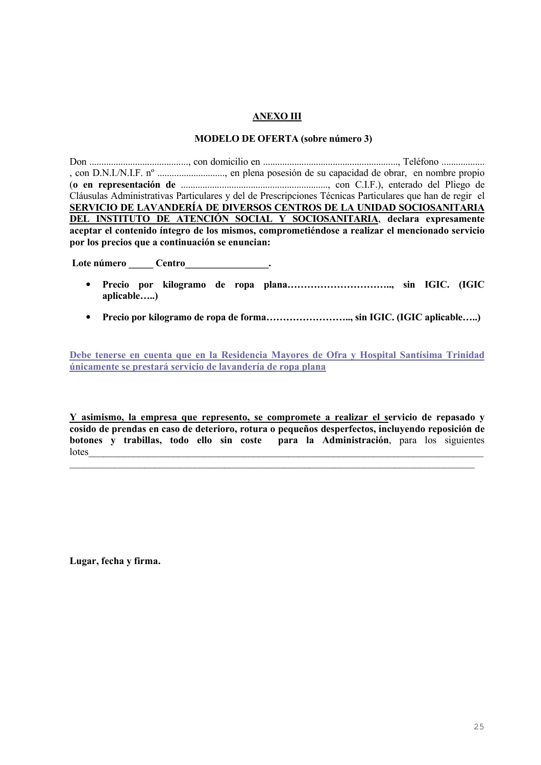## **ANEXO III**

#### **MODELO DE OFERTA** (sobre número 3)

Cláusulas Administrativas Particulares y del de Prescripciones Técnicas Particulares que han de regir el SERVICIO DE LAVANDERÍA DE DIVERSOS CENTROS DE LA UNIDAD SOCIOSANITARIA DEL INSTITUTO DE ATENCIÓN SOCIAL Y SOCIOSANITARIA, declara expresamente aceptar el contenido íntegro de los mismos, comprometiéndose a realizar el mencionado servicio por los precios que a continuación se enuncian:

Lote número \_\_\_\_\_\_ Centro

- $\bullet$ aplicable.....)
- Precio por kilogramo de ropa de forma..............................., sin IGIC. (IGIC aplicable.....)

Debe tenerse en cuenta que en la Residencia Mayores de Ofra y Hospital Santísima Trinidad únicamente se prestará servicio de lavandería de ropa plana

Y asimismo, la empresa que represento, se compromete a realizar el servicio de repasado y cosido de prendas en caso de deterioro, rotura o pequeños desperfectos, incluyendo reposición de botones y trabillas, todo ello sin coste para la Administración, para los siguientes lotes

Lugar, fecha y firma.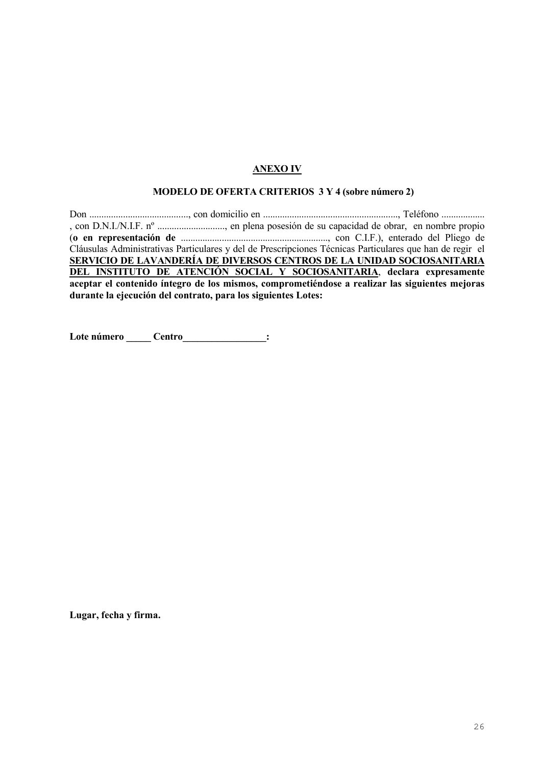### **ANEXO IV**

#### MODELO DE OFERTA CRITERIOS 3 Y 4 (sobre número 2)

Cláusulas Administrativas Particulares y del de Prescripciones Técnicas Particulares que han de regir el SERVICIO DE LAVANDERÍA DE DIVERSOS CENTROS DE LA UNIDAD SOCIOSANITARIA DEL INSTITUTO DE ATENCIÓN SOCIAL Y SOCIOSANITARIA, declara expresamente aceptar el contenido íntegro de los mismos, comprometiéndose a realizar las siguientes mejoras durante la ejecución del contrato, para los siguientes Lotes:

Lote número \_\_\_\_\_\_\_ Centro\_\_\_\_\_\_\_\_\_\_\_\_\_\_\_\_\_\_:

Lugar, fecha y firma.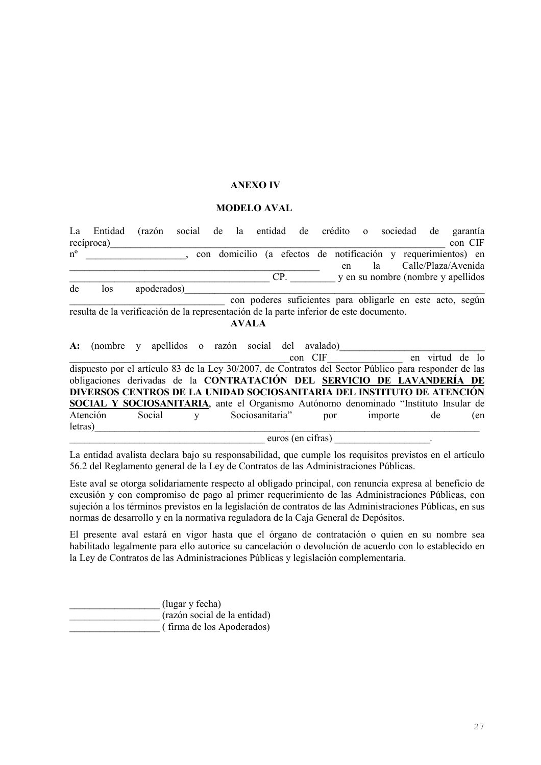### ANEXO IV

#### **MODELO AVAL**

 $La$ Entidad (razón social de la entidad de crédito o sociedad de garantía  ${\rm reciprocal}$  con CIF n<sup>o</sup> \_\_\_\_\_\_\_\_\_\_\_\_\_\_\_\_\_, con domicilio (a efectos de noti ficación y requerimientos) en TTTTTTTTTTTTTTTTTTTTTTTTTTTTTTTTTTTTTTTTTTTTTTTTTT 1\*1 TTTTTTTTTTTTTTTTTTTTTTTTTTTTTTTTTTTTTTTT% TTTTTTTTT!  " !  de los apoderados) con poderes suficientes para obligarle en este acto, según contra en el segunto de la contradicción de la contra resulta de la verificación de la representación de la parte inferior de este documento. **AVALA** 

|          |  |        |  |  | A: (nombre y apellidos o razón social del avalado)                                                    |                   |         |     |         |                 |  |     |
|----------|--|--------|--|--|-------------------------------------------------------------------------------------------------------|-------------------|---------|-----|---------|-----------------|--|-----|
|          |  |        |  |  |                                                                                                       |                   | con CIF |     |         | en virtud de lo |  |     |
|          |  |        |  |  | dispuesto por el artículo 83 de la Ley 30/2007, de Contratos del Sector Público para responder de las |                   |         |     |         |                 |  |     |
|          |  |        |  |  | obligaciones derivadas de la CONTRATACIÓN DEL SERVICIO DE LAVANDERÍA DE                               |                   |         |     |         |                 |  |     |
|          |  |        |  |  | DIVERSOS CENTROS DE LA UNIDAD SOCIOSANITARIA DEL INSTITUTO DE ATENCIÓN                                |                   |         |     |         |                 |  |     |
|          |  |        |  |  | <b>SOCIAL Y SOCIOSANITARIA</b> , ante el Organismo Autónomo denominado "Instituto Insular de          |                   |         |     |         |                 |  |     |
| Atención |  | Social |  |  | Sociosanitaria"                                                                                       |                   |         | por | importe | de              |  | (en |
| letras)  |  |        |  |  |                                                                                                       |                   |         |     |         |                 |  |     |
|          |  |        |  |  |                                                                                                       | euros (en cifras) |         |     |         |                 |  |     |

La entidad avalista declara bajo su responsabilidad, que cumple los requisitos previstos en el artículo 56.2 del Reglamento general de la Ley de Contratos de las Administraciones Públicas.

Este aval se otorga solidariamente respecto al obligado principal, con renuncia expresa al beneficio de excusión y con compromiso de pago al primer requerimiento de las Administraciones Públicas, con sujeción a los términos previstos en la legislación de contratos de las Administraciones Públicas, en sus normas de desarrollo y en la normativa reguladora de la Caja General de Depósitos.

El presente aval estará en vigor hasta que el órgano de contratación o quien en su nombre sea habilitado legalmente para ello autorice su cancelación o devolución de acuerdo con lo establecido en la Ley de Contratos de las Administraciones Públicas y legislación complementaria.

| (lugar y fecha)              |
|------------------------------|
| (razón social de la entidad) |
| (firma de los Apoderados)    |